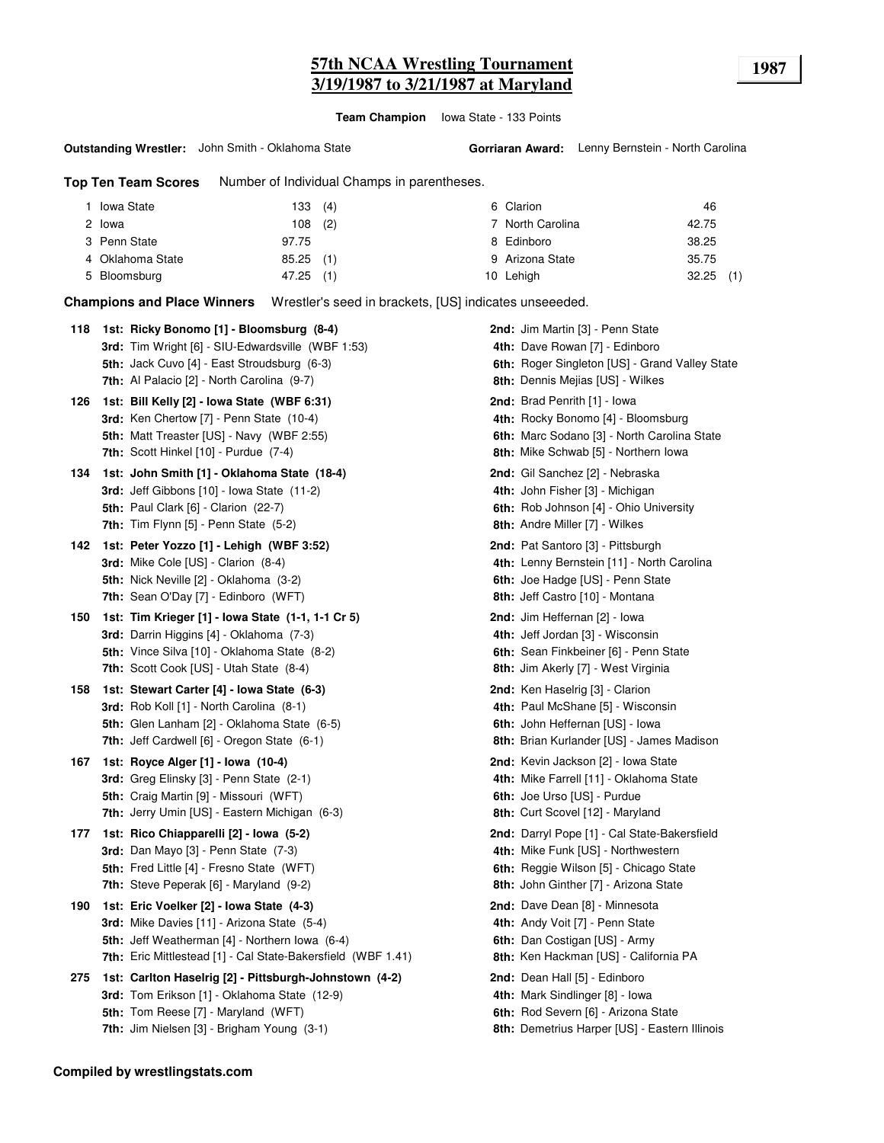# **57th NCAA Wrestling Tournament 1987 3/19/1987 to 3/21/1987 at Maryland**

**Team Champion** Iowa State - 133 Points

#### **Outstanding Wrestler:** John Smith - Oklahoma State

**Top Ten Team Scores** Number of Individual Champs in parentheses.

| <b>Iowa State</b> | 133 (4)     | 6 Clarion        | 46          |
|-------------------|-------------|------------------|-------------|
| 2 lowa            | $108$ (2)   | 7 North Carolina | 42.75       |
| 3 Penn State      | 97.75       | 8 Edinboro       | 38.25       |
| 4 Oklahoma State  | $85.25$ (1) | 9 Arizona State  | 35.75       |
| 5 Bloomsburg      | 47.25 (1)   | 10 Lehigh        | $32.25$ (1) |

**Champions and Place Winners** Wrestler's seed in brackets, [US] indicates unseeeded.

| 1st: Bill Kelly [2] - Iowa State (WBF 6:31)<br>2nd: Brad Penrith [1] - lowa<br>126<br>3rd: Ken Chertow [7] - Penn State (10-4)<br>4th: Rocky Bonomo [4] - Bloomsburg<br>5th: Matt Treaster [US] - Navy (WBF 2:55)<br>6th: Marc Sodano [3] - North Carolina State<br>7th: Scott Hinkel [10] - Purdue (7-4)<br>8th: Mike Schwab [5] - Northern Iowa<br>2nd: Gil Sanchez [2] - Nebraska<br>134<br>1st: John Smith [1] - Oklahoma State (18-4)<br>3rd: Jeff Gibbons [10] - Iowa State (11-2)<br>4th: John Fisher [3] - Michigan<br>5th: Paul Clark [6] - Clarion (22-7)<br><b>6th:</b> Rob Johnson [4] - Ohio University<br><b>7th:</b> Tim Flynn $[5]$ - Penn State $(5-2)$<br>8th: Andre Miller [7] - Wilkes<br>1st: Peter Yozzo [1] - Lehigh (WBF 3:52)<br>2nd: Pat Santoro [3] - Pittsburgh<br>142<br>3rd: Mike Cole [US] - Clarion (8-4)<br>4th: Lenny Bernstein [11] - North Carolina<br>5th: Nick Neville [2] - Oklahoma (3-2)<br>6th: Joe Hadge [US] - Penn State<br>7th: Sean O'Day [7] - Edinboro (WFT)<br>8th: Jeff Castro [10] - Montana<br>1st: Tim Krieger [1] - Iowa State (1-1, 1-1 Cr 5)<br>2nd: Jim Heffernan [2] - Iowa<br>150<br><b>3rd:</b> Darrin Higgins [4] - Oklahoma (7-3)<br>4th: Jeff Jordan [3] - Wisconsin<br>5th: Vince Silva [10] - Oklahoma State (8-2)<br>6th: Sean Finkbeiner [6] - Penn State<br><b>7th:</b> Scott Cook [US] - Utah State (8-4)<br>8th: Jim Akerly [7] - West Virginia<br>1st: Stewart Carter [4] - Iowa State (6-3)<br>2nd: Ken Haselrig [3] - Clarion<br>158<br>3rd: Rob Koll [1] - North Carolina (8-1)<br>4th: Paul McShane [5] - Wisconsin<br>5th: Glen Lanham [2] - Oklahoma State (6-5)<br>6th: John Heffernan [US] - Iowa<br>7th: Jeff Cardwell [6] - Oregon State (6-1)<br>8th: Brian Kurlander [US] - James Madison<br>167<br>1st: Royce Alger [1] - Iowa (10-4)<br><b>2nd:</b> Kevin Jackson [2] - Iowa State<br>3rd: Greg Elinsky [3] - Penn State (2-1)<br>4th: Mike Farrell [11] - Oklahoma State<br><b>5th:</b> Craig Martin [9] - Missouri (WFT)<br>6th: Joe Urso [US] - Purdue<br>7th: Jerry Umin [US] - Eastern Michigan (6-3)<br>8th: Curt Scovel [12] - Maryland<br>1st: Rico Chiapparelli [2] - Iowa (5-2)<br>2nd: Darryl Pope [1] - Cal State-Bakersfield<br>177<br><b>3rd:</b> Dan Mayo [3] - Penn State (7-3)<br>4th: Mike Funk [US] - Northwestern<br>5th: Fred Little [4] - Fresno State (WFT)<br>6th: Reggie Wilson [5] - Chicago State<br><b>7th:</b> Steve Peperak [6] - Maryland (9-2)<br>8th: John Ginther [7] - Arizona State<br>190<br>1st: Eric Voelker [2] - Iowa State (4-3)<br><b>2nd:</b> Dave Dean [8] - Minnesota<br><b>3rd:</b> Mike Davies [11] - Arizona State (5-4)<br>4th: Andy Voit [7] - Penn State<br>6th: Dan Costigan [US] - Army<br>5th: Jeff Weatherman [4] - Northern Iowa (6-4)<br>7th: Eric Mittlestead [1] - Cal State-Bakersfield (WBF 1.41)<br>8th: Ken Hackman [US] - California PA<br>2nd: Dean Hall [5] - Edinboro<br>275<br>1st: Carlton Haselrig [2] - Pittsburgh-Johnstown (4-2)<br>3rd: Tom Erikson [1] - Oklahoma State (12-9)<br>4th: Mark Sindlinger [8] - Iowa<br><b>5th:</b> Tom Reese [7] - Maryland (WFT)<br>6th: Rod Severn [6] - Arizona State<br>7th: Jim Nielsen [3] - Brigham Young (3-1)<br>8th: Demetrius Harper [US] - Eastern Illinois | 118 | 1st: Ricky Bonomo [1] - Bloomsburg (8-4)<br>3rd: Tim Wright [6] - SIU-Edwardsville (WBF 1:53)<br>5th: Jack Cuvo [4] - East Stroudsburg (6-3)<br><b>7th:</b> Al Palacio [2] - North Carolina (9-7) | 2nd: Jim Martin [3] - Penn State<br>4th: Dave Rowan [7] - Edinboro<br>6th: Roger Singleton [US] - Grand Valley State<br>8th: Dennis Mejias [US] - Wilkes |
|-------------------------------------------------------------------------------------------------------------------------------------------------------------------------------------------------------------------------------------------------------------------------------------------------------------------------------------------------------------------------------------------------------------------------------------------------------------------------------------------------------------------------------------------------------------------------------------------------------------------------------------------------------------------------------------------------------------------------------------------------------------------------------------------------------------------------------------------------------------------------------------------------------------------------------------------------------------------------------------------------------------------------------------------------------------------------------------------------------------------------------------------------------------------------------------------------------------------------------------------------------------------------------------------------------------------------------------------------------------------------------------------------------------------------------------------------------------------------------------------------------------------------------------------------------------------------------------------------------------------------------------------------------------------------------------------------------------------------------------------------------------------------------------------------------------------------------------------------------------------------------------------------------------------------------------------------------------------------------------------------------------------------------------------------------------------------------------------------------------------------------------------------------------------------------------------------------------------------------------------------------------------------------------------------------------------------------------------------------------------------------------------------------------------------------------------------------------------------------------------------------------------------------------------------------------------------------------------------------------------------------------------------------------------------------------------------------------------------------------------------------------------------------------------------------------------------------------------------------------------------------------------------------------------------------------------------------------------------------------------------------------------------------------------------------------------------------------------------------------------------------------------------------------------------------------------------------------------------------------------------------------------------|-----|---------------------------------------------------------------------------------------------------------------------------------------------------------------------------------------------------|----------------------------------------------------------------------------------------------------------------------------------------------------------|
|                                                                                                                                                                                                                                                                                                                                                                                                                                                                                                                                                                                                                                                                                                                                                                                                                                                                                                                                                                                                                                                                                                                                                                                                                                                                                                                                                                                                                                                                                                                                                                                                                                                                                                                                                                                                                                                                                                                                                                                                                                                                                                                                                                                                                                                                                                                                                                                                                                                                                                                                                                                                                                                                                                                                                                                                                                                                                                                                                                                                                                                                                                                                                                                                                                                                         |     |                                                                                                                                                                                                   |                                                                                                                                                          |
|                                                                                                                                                                                                                                                                                                                                                                                                                                                                                                                                                                                                                                                                                                                                                                                                                                                                                                                                                                                                                                                                                                                                                                                                                                                                                                                                                                                                                                                                                                                                                                                                                                                                                                                                                                                                                                                                                                                                                                                                                                                                                                                                                                                                                                                                                                                                                                                                                                                                                                                                                                                                                                                                                                                                                                                                                                                                                                                                                                                                                                                                                                                                                                                                                                                                         |     |                                                                                                                                                                                                   |                                                                                                                                                          |
|                                                                                                                                                                                                                                                                                                                                                                                                                                                                                                                                                                                                                                                                                                                                                                                                                                                                                                                                                                                                                                                                                                                                                                                                                                                                                                                                                                                                                                                                                                                                                                                                                                                                                                                                                                                                                                                                                                                                                                                                                                                                                                                                                                                                                                                                                                                                                                                                                                                                                                                                                                                                                                                                                                                                                                                                                                                                                                                                                                                                                                                                                                                                                                                                                                                                         |     |                                                                                                                                                                                                   |                                                                                                                                                          |
|                                                                                                                                                                                                                                                                                                                                                                                                                                                                                                                                                                                                                                                                                                                                                                                                                                                                                                                                                                                                                                                                                                                                                                                                                                                                                                                                                                                                                                                                                                                                                                                                                                                                                                                                                                                                                                                                                                                                                                                                                                                                                                                                                                                                                                                                                                                                                                                                                                                                                                                                                                                                                                                                                                                                                                                                                                                                                                                                                                                                                                                                                                                                                                                                                                                                         |     |                                                                                                                                                                                                   |                                                                                                                                                          |
|                                                                                                                                                                                                                                                                                                                                                                                                                                                                                                                                                                                                                                                                                                                                                                                                                                                                                                                                                                                                                                                                                                                                                                                                                                                                                                                                                                                                                                                                                                                                                                                                                                                                                                                                                                                                                                                                                                                                                                                                                                                                                                                                                                                                                                                                                                                                                                                                                                                                                                                                                                                                                                                                                                                                                                                                                                                                                                                                                                                                                                                                                                                                                                                                                                                                         |     |                                                                                                                                                                                                   |                                                                                                                                                          |
|                                                                                                                                                                                                                                                                                                                                                                                                                                                                                                                                                                                                                                                                                                                                                                                                                                                                                                                                                                                                                                                                                                                                                                                                                                                                                                                                                                                                                                                                                                                                                                                                                                                                                                                                                                                                                                                                                                                                                                                                                                                                                                                                                                                                                                                                                                                                                                                                                                                                                                                                                                                                                                                                                                                                                                                                                                                                                                                                                                                                                                                                                                                                                                                                                                                                         |     |                                                                                                                                                                                                   |                                                                                                                                                          |
|                                                                                                                                                                                                                                                                                                                                                                                                                                                                                                                                                                                                                                                                                                                                                                                                                                                                                                                                                                                                                                                                                                                                                                                                                                                                                                                                                                                                                                                                                                                                                                                                                                                                                                                                                                                                                                                                                                                                                                                                                                                                                                                                                                                                                                                                                                                                                                                                                                                                                                                                                                                                                                                                                                                                                                                                                                                                                                                                                                                                                                                                                                                                                                                                                                                                         |     |                                                                                                                                                                                                   |                                                                                                                                                          |
|                                                                                                                                                                                                                                                                                                                                                                                                                                                                                                                                                                                                                                                                                                                                                                                                                                                                                                                                                                                                                                                                                                                                                                                                                                                                                                                                                                                                                                                                                                                                                                                                                                                                                                                                                                                                                                                                                                                                                                                                                                                                                                                                                                                                                                                                                                                                                                                                                                                                                                                                                                                                                                                                                                                                                                                                                                                                                                                                                                                                                                                                                                                                                                                                                                                                         |     |                                                                                                                                                                                                   |                                                                                                                                                          |
|                                                                                                                                                                                                                                                                                                                                                                                                                                                                                                                                                                                                                                                                                                                                                                                                                                                                                                                                                                                                                                                                                                                                                                                                                                                                                                                                                                                                                                                                                                                                                                                                                                                                                                                                                                                                                                                                                                                                                                                                                                                                                                                                                                                                                                                                                                                                                                                                                                                                                                                                                                                                                                                                                                                                                                                                                                                                                                                                                                                                                                                                                                                                                                                                                                                                         |     |                                                                                                                                                                                                   |                                                                                                                                                          |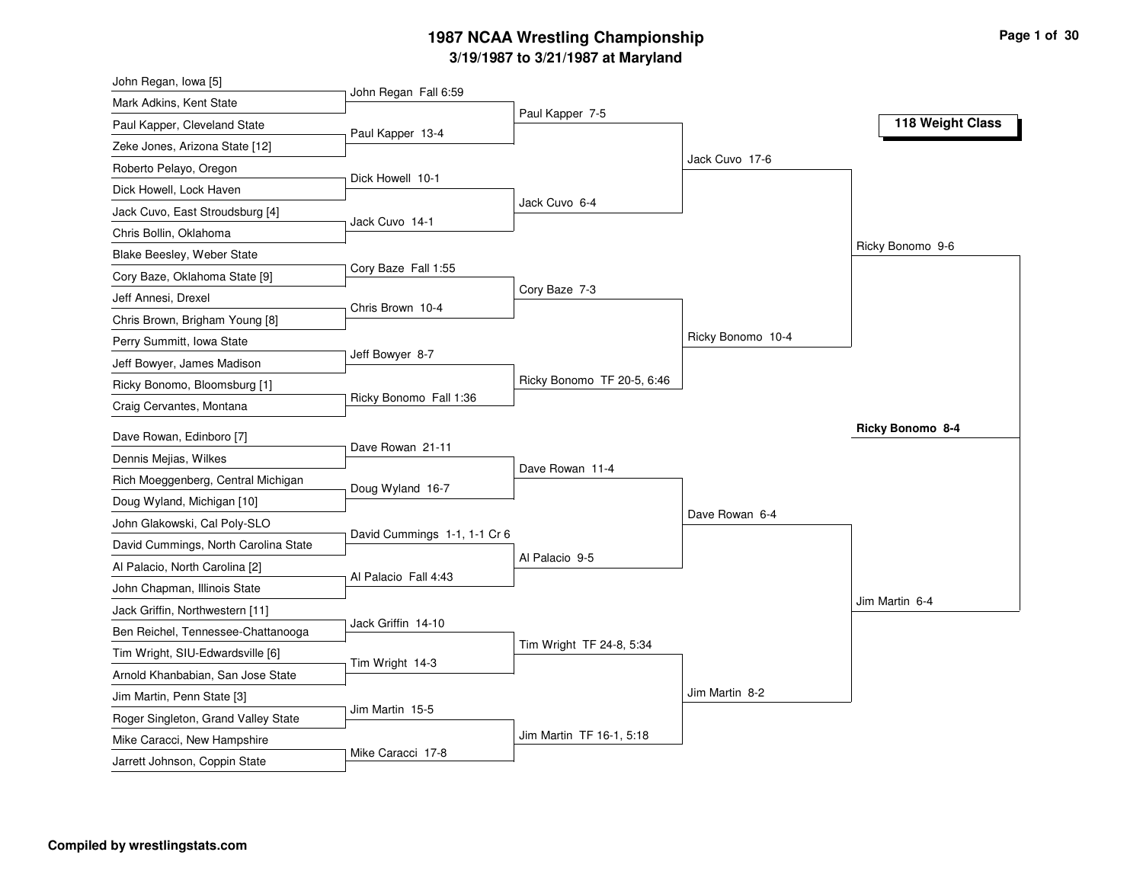# **3/19/1987 to 3/21/1987 at Maryland 1987 NCAA Wrestling Championship Page <sup>1</sup> of <sup>30</sup>**

| John Regan, Iowa [5]                 |                              |                            |                   |                  |
|--------------------------------------|------------------------------|----------------------------|-------------------|------------------|
| Mark Adkins, Kent State              | John Regan Fall 6:59         |                            |                   |                  |
| Paul Kapper, Cleveland State         | Paul Kapper 13-4             | Paul Kapper 7-5            |                   | 118 Weight Class |
| Zeke Jones, Arizona State [12]       |                              |                            |                   |                  |
| Roberto Pelayo, Oregon               |                              |                            | Jack Cuvo 17-6    |                  |
| Dick Howell, Lock Haven              | Dick Howell 10-1             |                            |                   |                  |
| Jack Cuvo, East Stroudsburg [4]      |                              | Jack Cuvo 6-4              |                   |                  |
| Chris Bollin, Oklahoma               | Jack Cuvo 14-1               |                            |                   |                  |
| Blake Beesley, Weber State           |                              |                            |                   | Ricky Bonomo 9-6 |
| Cory Baze, Oklahoma State [9]        | Cory Baze Fall 1:55          |                            |                   |                  |
| Jeff Annesi, Drexel                  |                              | Cory Baze 7-3              |                   |                  |
| Chris Brown, Brigham Young [8]       | Chris Brown 10-4             |                            |                   |                  |
| Perry Summitt, Iowa State            |                              |                            | Ricky Bonomo 10-4 |                  |
| Jeff Bowyer, James Madison           | Jeff Bowyer 8-7              |                            |                   |                  |
| Ricky Bonomo, Bloomsburg [1]         |                              | Ricky Bonomo TF 20-5, 6:46 |                   |                  |
| Craig Cervantes, Montana             | Ricky Bonomo Fall 1:36       |                            |                   |                  |
| Dave Rowan, Edinboro [7]             |                              |                            |                   | Ricky Bonomo 8-4 |
| Dennis Mejias, Wilkes                | Dave Rowan 21-11             |                            |                   |                  |
| Rich Moeggenberg, Central Michigan   |                              | Dave Rowan 11-4            |                   |                  |
| Doug Wyland, Michigan [10]           | Doug Wyland 16-7             |                            |                   |                  |
| John Glakowski, Cal Poly-SLO         |                              |                            | Dave Rowan 6-4    |                  |
| David Cummings, North Carolina State | David Cummings 1-1, 1-1 Cr 6 |                            |                   |                  |
| Al Palacio, North Carolina [2]       |                              | Al Palacio 9-5             |                   |                  |
| John Chapman, Illinois State         | Al Palacio Fall 4:43         |                            |                   |                  |
| Jack Griffin, Northwestern [11]      |                              |                            |                   | Jim Martin 6-4   |
| Ben Reichel, Tennessee-Chattanooga   | Jack Griffin 14-10           |                            |                   |                  |
| Tim Wright, SIU-Edwardsville [6]     |                              | Tim Wright TF 24-8, 5:34   |                   |                  |
| Arnold Khanbabian, San Jose State    | Tim Wright 14-3              |                            |                   |                  |
| Jim Martin, Penn State [3]           |                              |                            | Jim Martin 8-2    |                  |
| Roger Singleton, Grand Valley State  | Jim Martin 15-5              |                            |                   |                  |
|                                      |                              |                            |                   |                  |
| Mike Caracci, New Hampshire          |                              | Jim Martin TF 16-1, 5:18   |                   |                  |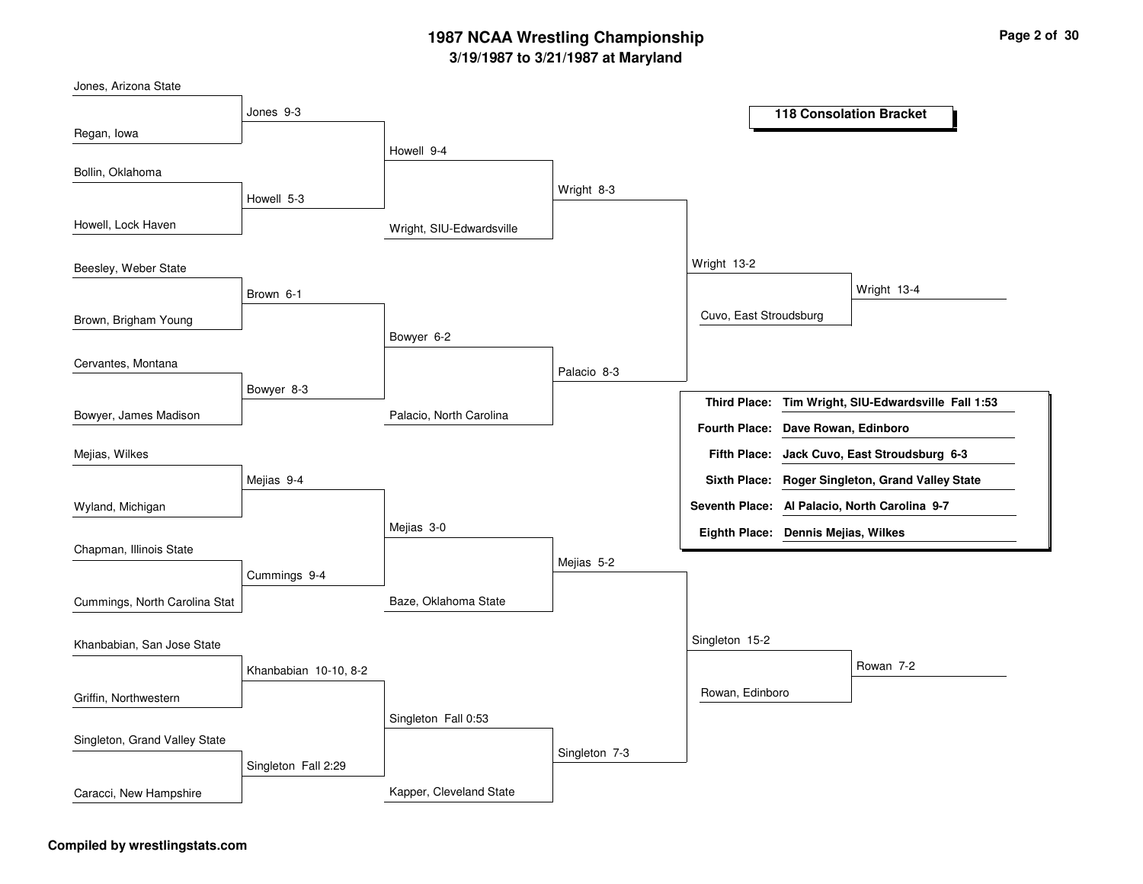# **3/19/1987 to 3/21/1987 at Maryland 1987 NCAA Wrestling Championship Page <sup>2</sup> of <sup>30</sup>**

| Jones, Arizona State          |                       |                          |               |                                             |                      |                                               |
|-------------------------------|-----------------------|--------------------------|---------------|---------------------------------------------|----------------------|-----------------------------------------------|
|                               | Jones 9-3             |                          |               |                                             |                      | <b>118 Consolation Bracket</b>                |
| Regan, Iowa                   |                       |                          |               |                                             |                      |                                               |
|                               |                       | Howell 9-4               |               |                                             |                      |                                               |
| Bollin, Oklahoma              |                       |                          |               |                                             |                      |                                               |
|                               | Howell 5-3            |                          | Wright 8-3    |                                             |                      |                                               |
| Howell, Lock Haven            |                       | Wright, SIU-Edwardsville |               |                                             |                      |                                               |
| Beesley, Weber State          |                       |                          |               | Wright 13-2                                 |                      |                                               |
|                               | Brown 6-1             |                          |               |                                             |                      | Wright 13-4                                   |
| Brown, Brigham Young          |                       |                          |               | Cuvo, East Stroudsburg                      |                      |                                               |
|                               |                       | Bowyer 6-2               |               |                                             |                      |                                               |
| Cervantes, Montana            |                       |                          | Palacio 8-3   |                                             |                      |                                               |
|                               | Bowyer 8-3            |                          |               |                                             |                      |                                               |
| Bowyer, James Madison         |                       | Palacio, North Carolina  |               | <b>Third Place:</b><br><b>Fourth Place:</b> | Dave Rowan, Edinboro | Tim Wright, SIU-Edwardsville Fall 1:53        |
| Mejias, Wilkes                |                       |                          |               | <b>Fifth Place:</b>                         |                      | Jack Cuvo, East Stroudsburg 6-3               |
|                               |                       |                          |               |                                             |                      |                                               |
|                               | Mejias 9-4            |                          |               | <b>Sixth Place:</b>                         |                      | Roger Singleton, Grand Valley State           |
| Wyland, Michigan              |                       |                          |               |                                             |                      | Seventh Place: Al Palacio, North Carolina 9-7 |
|                               |                       | Mejias 3-0               |               | Eighth Place: Dennis Mejias, Wilkes         |                      |                                               |
| Chapman, Illinois State       |                       |                          | Mejias 5-2    |                                             |                      |                                               |
|                               | Cummings 9-4          |                          |               |                                             |                      |                                               |
| Cummings, North Carolina Stat |                       | Baze, Oklahoma State     |               |                                             |                      |                                               |
| Khanbabian, San Jose State    |                       |                          |               | Singleton 15-2                              |                      |                                               |
|                               | Khanbabian 10-10, 8-2 |                          |               |                                             |                      | Rowan 7-2                                     |
| Griffin, Northwestern         |                       |                          |               | Rowan, Edinboro                             |                      |                                               |
|                               |                       | Singleton Fall 0:53      |               |                                             |                      |                                               |
| Singleton, Grand Valley State |                       |                          |               |                                             |                      |                                               |
|                               | Singleton Fall 2:29   |                          | Singleton 7-3 |                                             |                      |                                               |
| Caracci, New Hampshire        |                       | Kapper, Cleveland State  |               |                                             |                      |                                               |

#### **Compiled by wrestlingstats.com**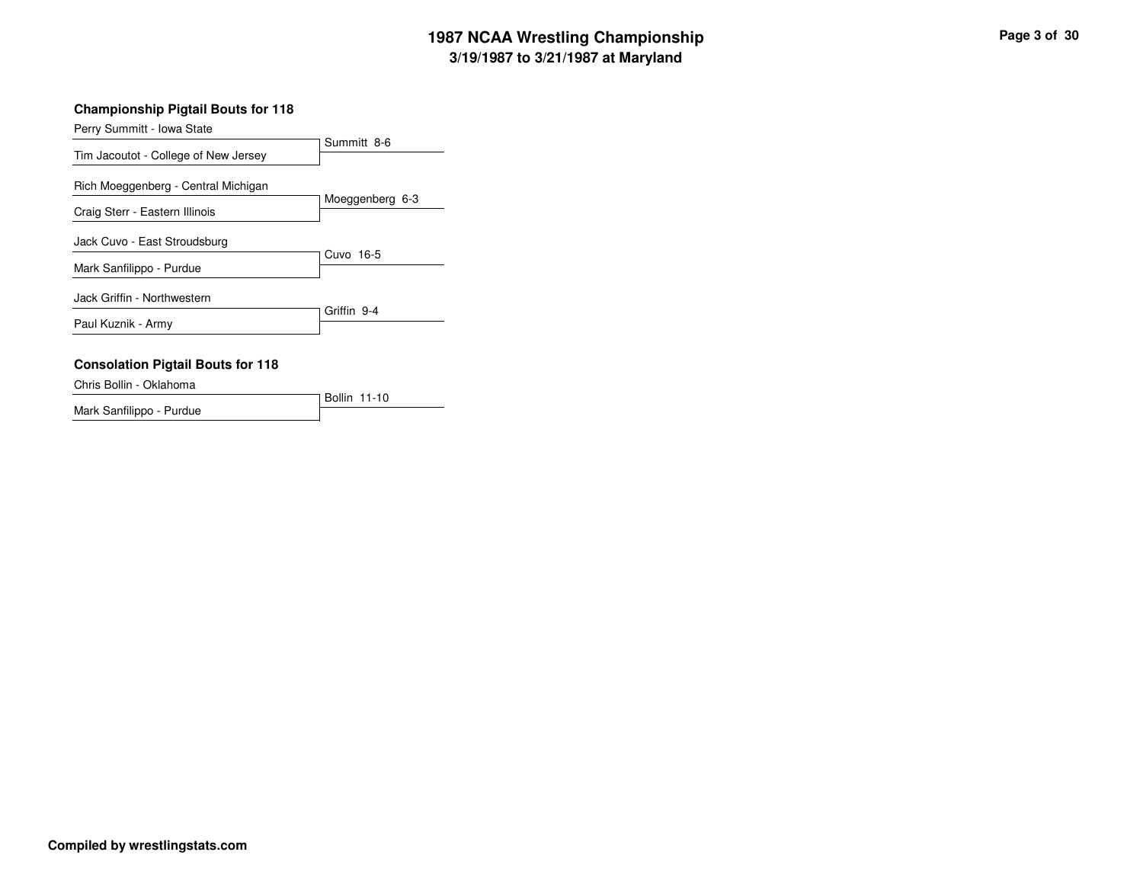# **3/19/1987 to 3/21/1987 at Maryland 1987 NCAA Wrestling Championship Page <sup>3</sup> of <sup>30</sup>**

#### **Championship Pigtail Bouts for 118**

|                                          | Summitt 8-6     |  |  |
|------------------------------------------|-----------------|--|--|
| Tim Jacoutot - College of New Jersey     |                 |  |  |
| Rich Moeggenberg - Central Michigan      | Moeggenberg 6-3 |  |  |
| Craig Sterr - Eastern Illinois           |                 |  |  |
| Jack Cuvo - East Stroudsburg             |                 |  |  |
| Mark Sanfilippo - Purdue                 | Cuvo 16-5       |  |  |
| Jack Griffin - Northwestern              |                 |  |  |
| Paul Kuznik - Army                       | Griffin 9-4     |  |  |
| <b>Consolation Pigtail Bouts for 118</b> |                 |  |  |
|                                          |                 |  |  |

#### Chris Bollin - Oklahoma

|                          | Bollin 11-10 |  |
|--------------------------|--------------|--|
| Mark Sanfilippo - Purdue |              |  |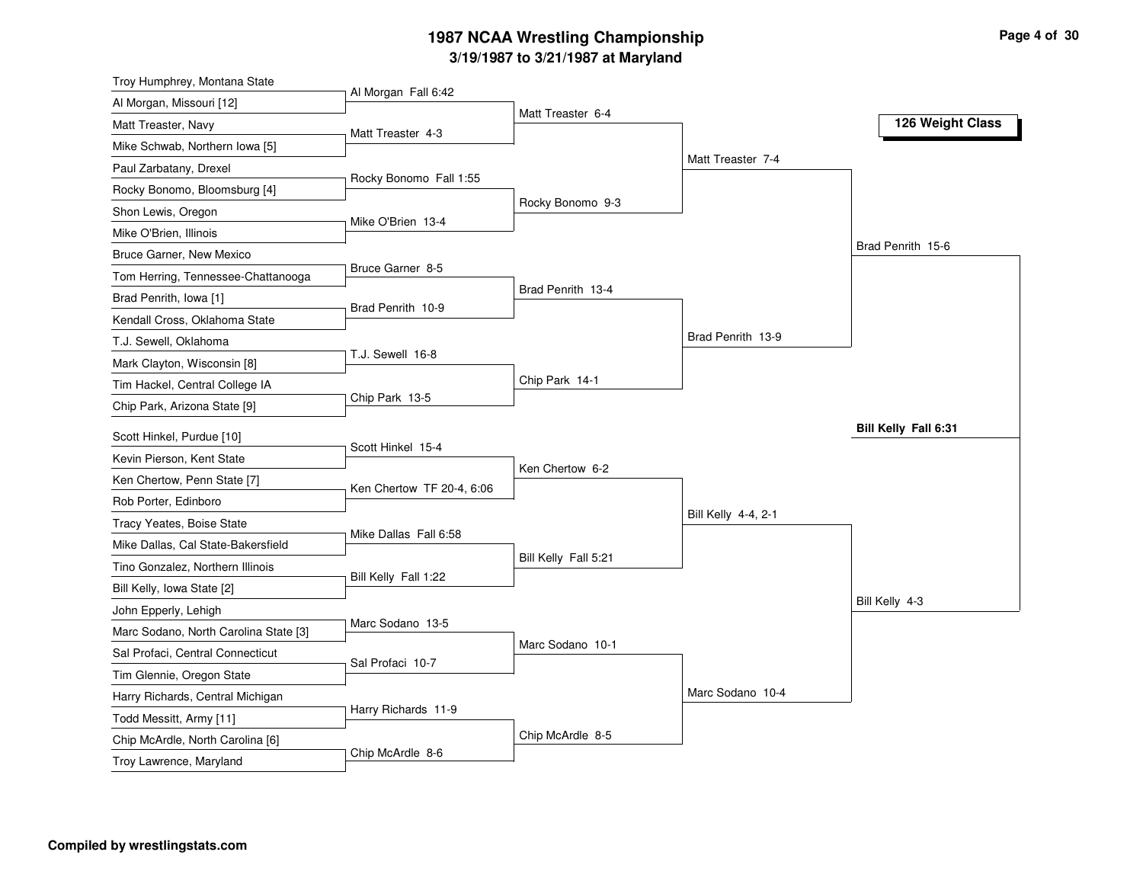# **3/19/1987 to 3/21/1987 at Maryland 1987 NCAA Wrestling Championship Page <sup>4</sup> of <sup>30</sup>**

| Al Morgan, Missouri [12]              |                           |                      |                     |                      |
|---------------------------------------|---------------------------|----------------------|---------------------|----------------------|
|                                       | Al Morgan Fall 6:42       |                      |                     |                      |
| Matt Treaster, Navy                   | Matt Treaster 4-3         | Matt Treaster 6-4    |                     | 126 Weight Class     |
| Mike Schwab, Northern Iowa [5]        |                           |                      |                     |                      |
| Paul Zarbatany, Drexel                |                           |                      | Matt Treaster 7-4   |                      |
| Rocky Bonomo, Bloomsburg [4]          | Rocky Bonomo Fall 1:55    |                      |                     |                      |
| Shon Lewis, Oregon                    |                           | Rocky Bonomo 9-3     |                     |                      |
| Mike O'Brien, Illinois                | Mike O'Brien 13-4         |                      |                     |                      |
| Bruce Garner, New Mexico              |                           |                      |                     | Brad Penrith 15-6    |
| Tom Herring, Tennessee-Chattanooga    | Bruce Garner 8-5          |                      |                     |                      |
| Brad Penrith, Iowa [1]                |                           | Brad Penrith 13-4    |                     |                      |
| Kendall Cross, Oklahoma State         | Brad Penrith 10-9         |                      |                     |                      |
| T.J. Sewell, Oklahoma                 |                           |                      | Brad Penrith 13-9   |                      |
| Mark Clayton, Wisconsin [8]           | T.J. Sewell 16-8          |                      |                     |                      |
| Tim Hackel, Central College IA        |                           | Chip Park 14-1       |                     |                      |
| Chip Park, Arizona State [9]          | Chip Park 13-5            |                      |                     |                      |
| Scott Hinkel, Purdue [10]             |                           |                      |                     | Bill Kelly Fall 6:31 |
| Kevin Pierson, Kent State             | Scott Hinkel 15-4         |                      |                     |                      |
| Ken Chertow, Penn State [7]           |                           | Ken Chertow 6-2      |                     |                      |
| Rob Porter, Edinboro                  | Ken Chertow TF 20-4, 6:06 |                      |                     |                      |
| Tracy Yeates, Boise State             |                           |                      | Bill Kelly 4-4, 2-1 |                      |
| Mike Dallas, Cal State-Bakersfield    | Mike Dallas Fall 6:58     |                      |                     |                      |
| Tino Gonzalez, Northern Illinois      |                           | Bill Kelly Fall 5:21 |                     |                      |
| Bill Kelly, Iowa State [2]            | Bill Kelly Fall 1:22      |                      |                     |                      |
| John Epperly, Lehigh                  |                           |                      |                     | Bill Kelly 4-3       |
| Marc Sodano, North Carolina State [3] | Marc Sodano 13-5          |                      |                     |                      |
| Sal Profaci, Central Connecticut      |                           | Marc Sodano 10-1     |                     |                      |
| Tim Glennie, Oregon State             | Sal Profaci 10-7          |                      |                     |                      |
| Harry Richards, Central Michigan      |                           |                      | Marc Sodano 10-4    |                      |
| Todd Messitt, Army [11]               | Harry Richards 11-9       |                      |                     |                      |
| Chip McArdle, North Carolina [6]      |                           | Chip McArdle 8-5     |                     |                      |
| Troy Lawrence, Maryland               | Chip McArdle 8-6          |                      |                     |                      |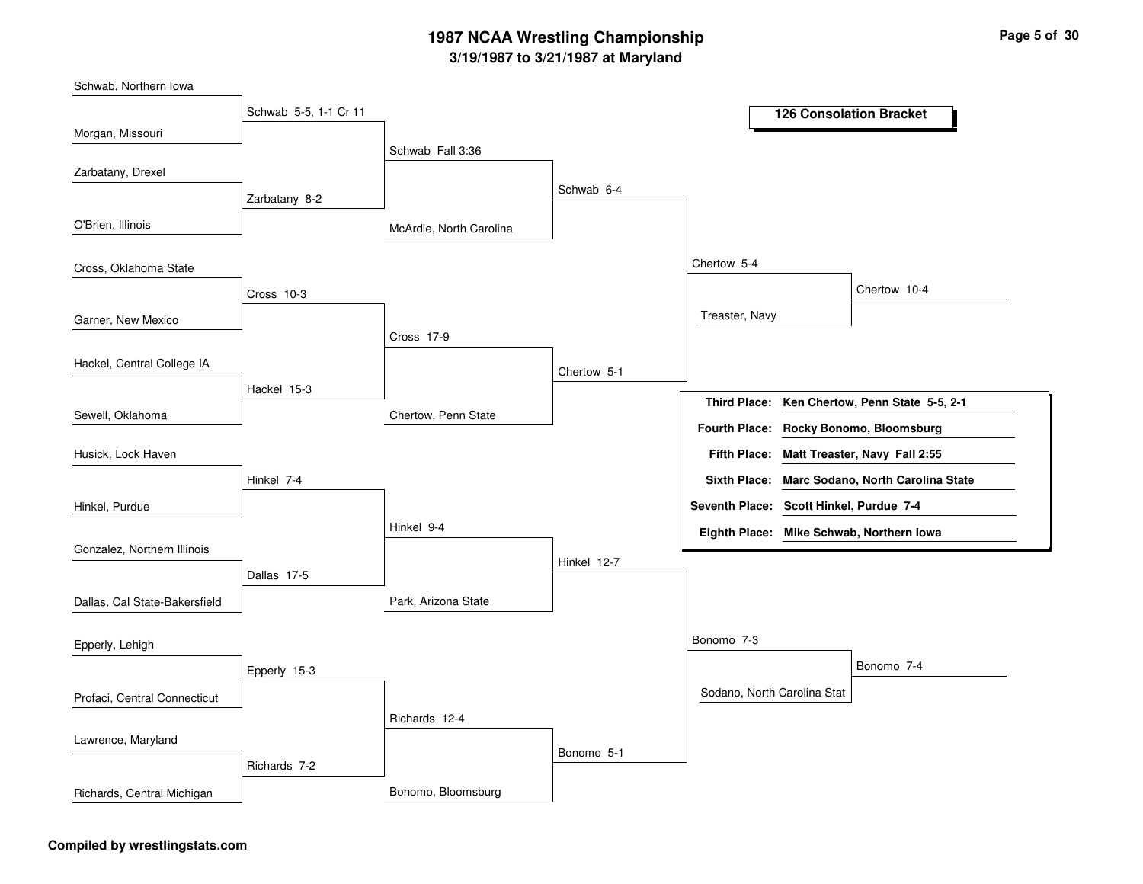# **3/19/1987 to 3/21/1987 at Maryland 1987 NCAA Wrestling Championship Page <sup>5</sup> of <sup>30</sup>**

McArdle, North Carolina Chertow, Penn State Park, Arizona State Bonomo, Bloomsburg Schwab Fall 3:36 Cross 17-9Hinkel 9-4Richards 12-4 Schwab 6-4 Chertow 5-1 Hinkel 12-7Bonomo 5-1 Chertow 5-4 Bonomo 7-3 Treaster, Navy Sodano, North Carolina Stat Chertow 10-4 Bonomo 7-4 Schwab 5-5, 1-1 Cr 11 Zarbatany 8-2 Cross 10-3Hackel 15-3Hinkel 7-4Dallas 17-5 Epperly 15-3 Richards 7-2 Morgan, Missouri O'Brien, Illinois Garner, New Mexico Sewell, Oklahoma Schwab, Northern Iowa Zarbatany, Drexel Cross, Oklahoma State Hackel, Central College IA Hinkel, Purdue Husick, Lock Haven Gonzalez, Northern Illinois Dallas, Cal State-Bakersfield Profaci, Central Connecticut Epperly, Lehigh Lawrence, Maryland Richards, Central Michigan **126 Consolation Bracket Ken Chertow, Penn State 5-5, 2-1 Third Place: Matt Treaster, Navy Fall 2:55 Fifth Place: Seventh Place: Scott Hinkel, Purdue 7-4 Eighth Place: Mike Schwab, Northern Iowa Fourth Place: Rocky Bonomo, Bloomsburg Sixth Place: Marc Sodano, North Carolina State**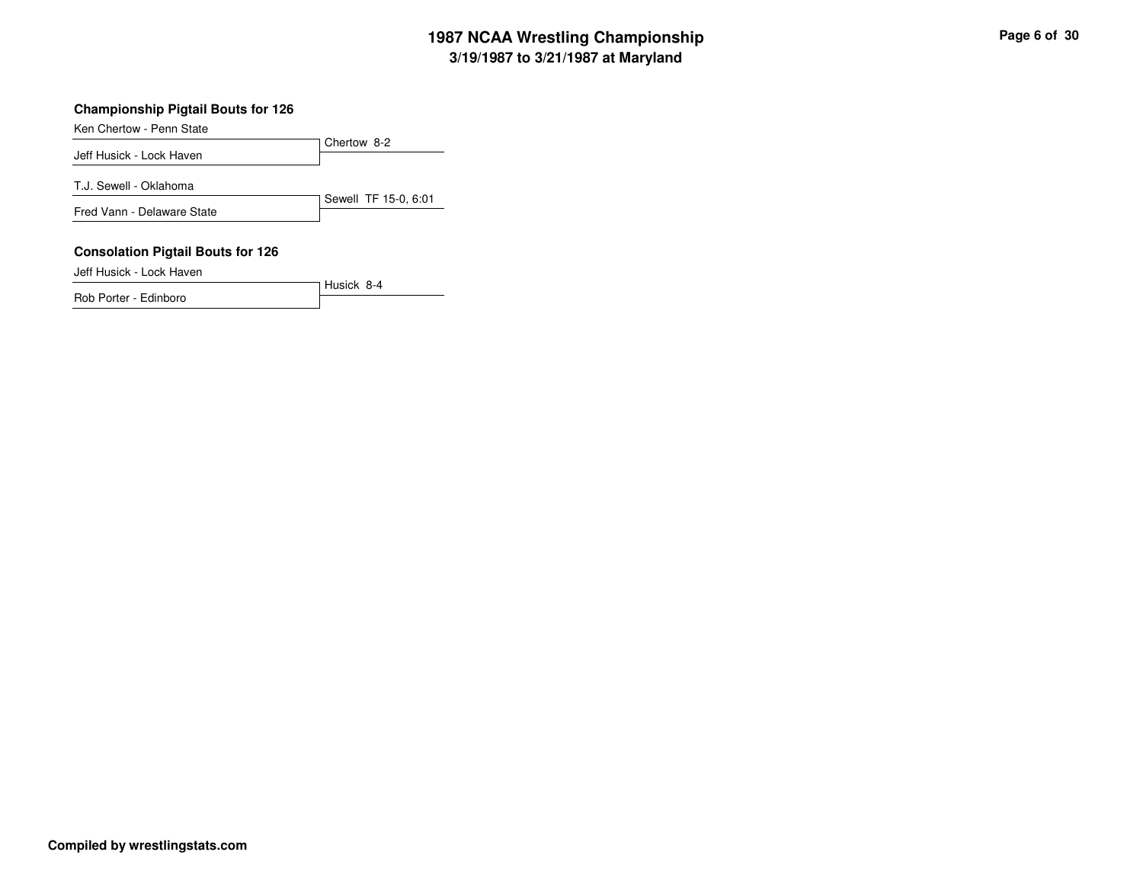# **3/19/1987 to 3/21/1987 at Maryland 1987 NCAA Wrestling Championship Page <sup>6</sup> of <sup>30</sup>**

#### **Championship Pigtail Bouts for 126**

Ken Chertow - Penn State

Chertow 8-2 Jeff Husick - Lock HavenSewell TF 15-0, 6:01 T.J. Sewell - Oklahoma Fred Vann - Delaware State **Consolation Pigtail Bouts for 126**

Husick 8-4

Jeff Husick - Lock Haven

Rob Porter - Edinboro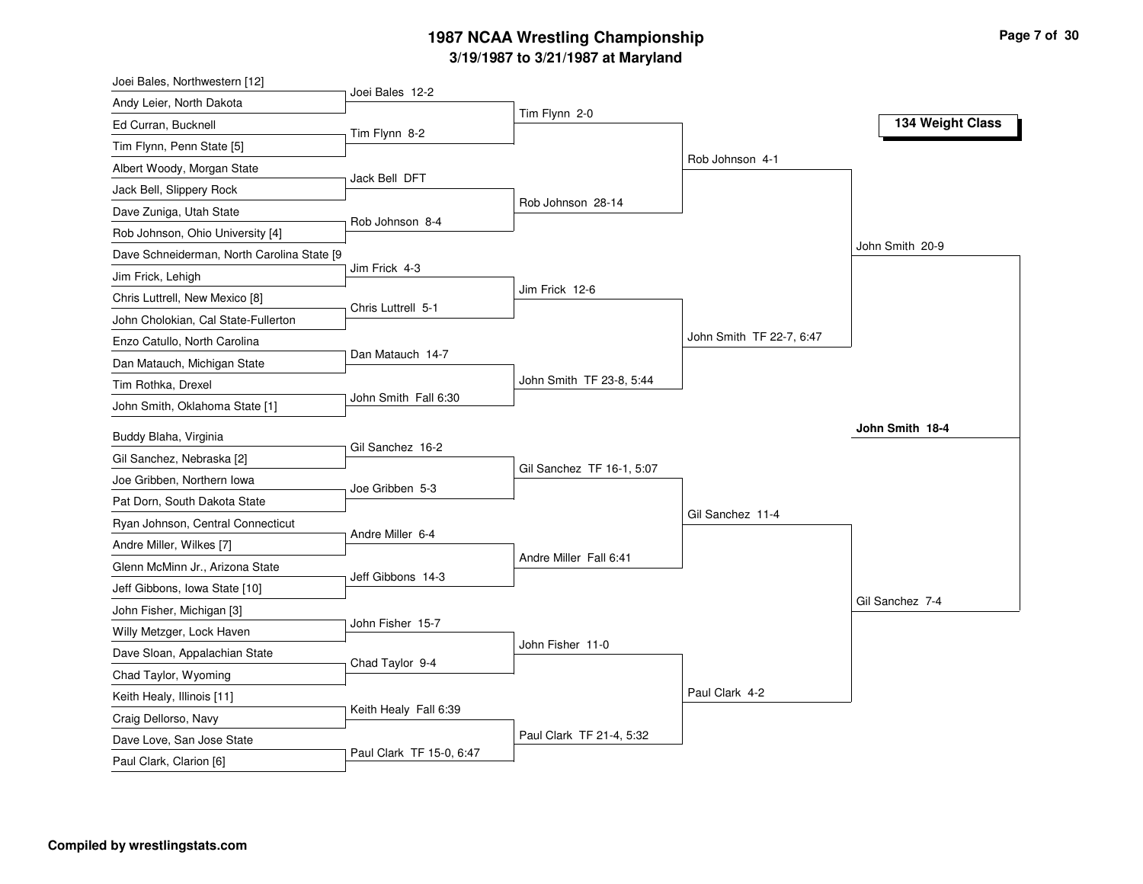# **3/19/1987 to 3/21/1987 at Maryland 1987 NCAA Wrestling Championship Page <sup>7</sup> of <sup>30</sup>**

| Joei Bales 12-2<br>Andy Leier, North Dakota<br>Tim Flynn 2-0<br>Ed Curran, Bucknell<br>Tim Flynn 8-2<br>Tim Flynn, Penn State [5]<br>Albert Woody, Morgan State<br>Jack Bell DFT<br>Jack Bell, Slippery Rock<br>Rob Johnson 28-14<br>Dave Zuniga, Utah State<br>Rob Johnson 8-4<br>Rob Johnson, Ohio University [4]<br>Dave Schneiderman, North Carolina State [9<br>Jim Frick 4-3<br>Jim Frick, Lehigh<br>Jim Frick 12-6<br>Chris Luttrell, New Mexico [8]<br>Chris Luttrell 5-1<br>John Cholokian, Cal State-Fullerton<br>Enzo Catullo, North Carolina |                          |
|----------------------------------------------------------------------------------------------------------------------------------------------------------------------------------------------------------------------------------------------------------------------------------------------------------------------------------------------------------------------------------------------------------------------------------------------------------------------------------------------------------------------------------------------------------|--------------------------|
|                                                                                                                                                                                                                                                                                                                                                                                                                                                                                                                                                          |                          |
|                                                                                                                                                                                                                                                                                                                                                                                                                                                                                                                                                          | 134 Weight Class         |
|                                                                                                                                                                                                                                                                                                                                                                                                                                                                                                                                                          |                          |
|                                                                                                                                                                                                                                                                                                                                                                                                                                                                                                                                                          | Rob Johnson 4-1          |
|                                                                                                                                                                                                                                                                                                                                                                                                                                                                                                                                                          |                          |
|                                                                                                                                                                                                                                                                                                                                                                                                                                                                                                                                                          |                          |
|                                                                                                                                                                                                                                                                                                                                                                                                                                                                                                                                                          |                          |
|                                                                                                                                                                                                                                                                                                                                                                                                                                                                                                                                                          | John Smith 20-9          |
|                                                                                                                                                                                                                                                                                                                                                                                                                                                                                                                                                          |                          |
|                                                                                                                                                                                                                                                                                                                                                                                                                                                                                                                                                          |                          |
|                                                                                                                                                                                                                                                                                                                                                                                                                                                                                                                                                          |                          |
|                                                                                                                                                                                                                                                                                                                                                                                                                                                                                                                                                          | John Smith TF 22-7, 6:47 |
| Dan Matauch 14-7<br>Dan Matauch, Michigan State                                                                                                                                                                                                                                                                                                                                                                                                                                                                                                          |                          |
| John Smith TF 23-8, 5:44<br>Tim Rothka, Drexel                                                                                                                                                                                                                                                                                                                                                                                                                                                                                                           |                          |
| John Smith Fall 6:30<br>John Smith, Oklahoma State [1]                                                                                                                                                                                                                                                                                                                                                                                                                                                                                                   |                          |
| Buddy Blaha, Virginia                                                                                                                                                                                                                                                                                                                                                                                                                                                                                                                                    | John Smith 18-4          |
| Gil Sanchez 16-2<br>Gil Sanchez, Nebraska [2]                                                                                                                                                                                                                                                                                                                                                                                                                                                                                                            |                          |
| Gil Sanchez TF 16-1, 5:07<br>Joe Gribben, Northern Iowa                                                                                                                                                                                                                                                                                                                                                                                                                                                                                                  |                          |
| Joe Gribben 5-3<br>Pat Dorn, South Dakota State                                                                                                                                                                                                                                                                                                                                                                                                                                                                                                          |                          |
| Ryan Johnson, Central Connecticut                                                                                                                                                                                                                                                                                                                                                                                                                                                                                                                        | Gil Sanchez 11-4         |
| Andre Miller 6-4                                                                                                                                                                                                                                                                                                                                                                                                                                                                                                                                         |                          |
| Andre Miller, Wilkes [7]<br>Andre Miller Fall 6:41<br>Glenn McMinn Jr., Arizona State                                                                                                                                                                                                                                                                                                                                                                                                                                                                    |                          |
| Jeff Gibbons 14-3<br>Jeff Gibbons, Iowa State [10]                                                                                                                                                                                                                                                                                                                                                                                                                                                                                                       |                          |
| John Fisher, Michigan [3]                                                                                                                                                                                                                                                                                                                                                                                                                                                                                                                                | Gil Sanchez 7-4          |
| John Fisher 15-7<br>Willy Metzger, Lock Haven                                                                                                                                                                                                                                                                                                                                                                                                                                                                                                            |                          |
| John Fisher 11-0<br>Dave Sloan, Appalachian State                                                                                                                                                                                                                                                                                                                                                                                                                                                                                                        |                          |
| Chad Taylor 9-4                                                                                                                                                                                                                                                                                                                                                                                                                                                                                                                                          |                          |
| Chad Taylor, Wyoming                                                                                                                                                                                                                                                                                                                                                                                                                                                                                                                                     | Paul Clark 4-2           |
| Keith Healy, Illinois [11]<br>Keith Healy Fall 6:39                                                                                                                                                                                                                                                                                                                                                                                                                                                                                                      |                          |
| Craig Dellorso, Navy<br>Paul Clark TF 21-4, 5:32                                                                                                                                                                                                                                                                                                                                                                                                                                                                                                         |                          |
| Dave Love, San Jose State<br>Paul Clark TF 15-0, 6:47<br>Paul Clark, Clarion [6]                                                                                                                                                                                                                                                                                                                                                                                                                                                                         |                          |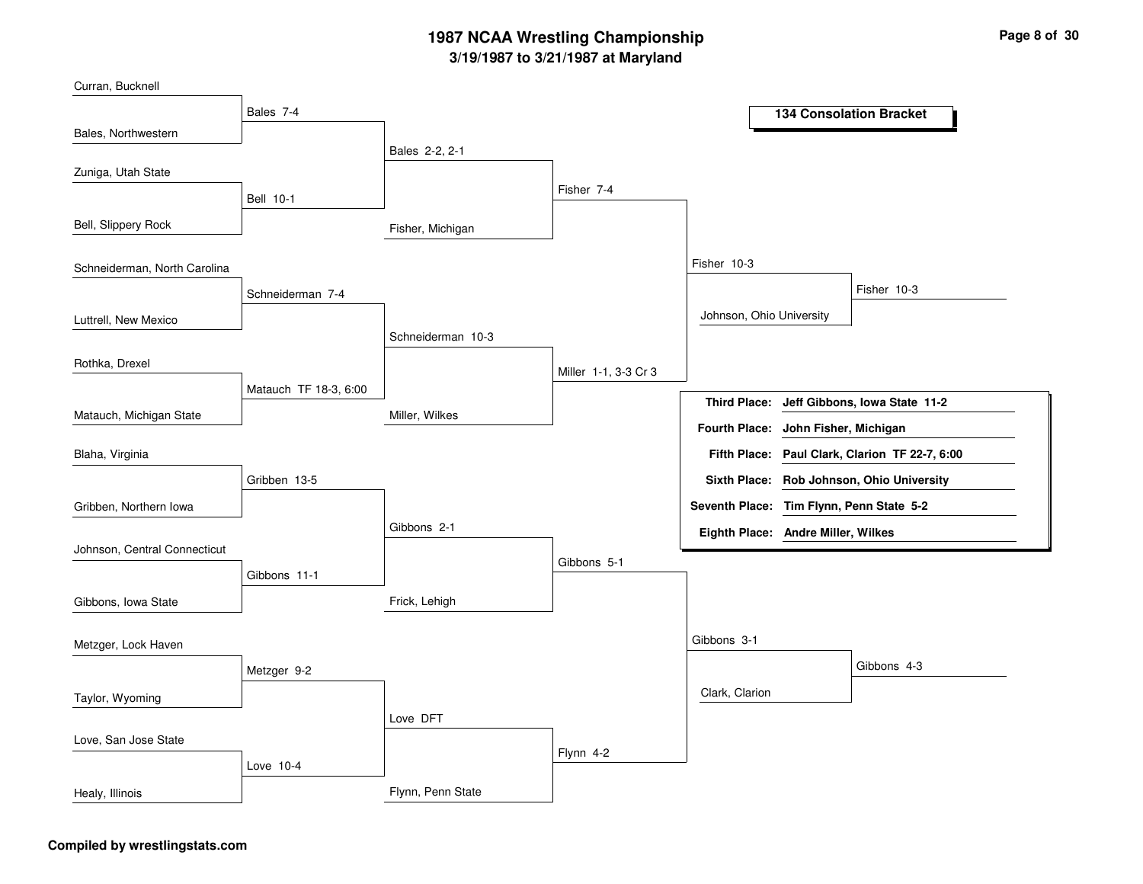# **3/19/1987 to 3/21/1987 at Maryland 1987 NCAA Wrestling Championship Page <sup>8</sup> of <sup>30</sup>**

| Curran, Bucknell             |                       |                   |                      |                                          |                       |                                            |
|------------------------------|-----------------------|-------------------|----------------------|------------------------------------------|-----------------------|--------------------------------------------|
|                              | Bales 7-4             |                   |                      |                                          |                       | <b>134 Consolation Bracket</b>             |
| Bales, Northwestern          |                       |                   |                      |                                          |                       |                                            |
| Zuniga, Utah State           |                       | Bales 2-2, 2-1    |                      |                                          |                       |                                            |
|                              | <b>Bell 10-1</b>      |                   | Fisher 7-4           |                                          |                       |                                            |
| Bell, Slippery Rock          |                       | Fisher, Michigan  |                      |                                          |                       |                                            |
| Schneiderman, North Carolina |                       |                   |                      | Fisher 10-3                              |                       |                                            |
|                              | Schneiderman 7-4      |                   |                      |                                          |                       | Fisher 10-3                                |
| Luttrell, New Mexico         |                       |                   |                      | Johnson, Ohio University                 |                       |                                            |
|                              |                       | Schneiderman 10-3 |                      |                                          |                       |                                            |
| Rothka, Drexel               |                       |                   | Miller 1-1, 3-3 Cr 3 |                                          |                       |                                            |
|                              | Matauch TF 18-3, 6:00 |                   |                      |                                          |                       | Third Place: Jeff Gibbons, Iowa State 11-2 |
| Matauch, Michigan State      |                       | Miller, Wilkes    |                      | <b>Fourth Place:</b>                     | John Fisher, Michigan |                                            |
| Blaha, Virginia              |                       |                   |                      | <b>Fifth Place:</b>                      |                       | Paul Clark, Clarion TF 22-7, 6:00          |
|                              | Gribben 13-5          |                   |                      |                                          |                       | Sixth Place: Rob Johnson, Ohio University  |
| Gribben, Northern Iowa       |                       |                   |                      | Seventh Place: Tim Flynn, Penn State 5-2 |                       |                                            |
|                              |                       | Gibbons 2-1       |                      | Eighth Place: Andre Miller, Wilkes       |                       |                                            |
| Johnson, Central Connecticut |                       |                   | Gibbons 5-1          |                                          |                       |                                            |
|                              | Gibbons 11-1          |                   |                      |                                          |                       |                                            |
| Gibbons, Iowa State          |                       | Frick, Lehigh     |                      |                                          |                       |                                            |
| Metzger, Lock Haven          |                       |                   |                      | Gibbons 3-1                              |                       |                                            |
|                              | Metzger 9-2           |                   |                      |                                          |                       | Gibbons 4-3                                |
| Taylor, Wyoming              |                       |                   |                      | Clark, Clarion                           |                       |                                            |
|                              |                       | Love DFT          |                      |                                          |                       |                                            |
| Love, San Jose State         |                       |                   |                      |                                          |                       |                                            |
|                              | Love 10-4             |                   | Flynn 4-2            |                                          |                       |                                            |
| Healy, Illinois              |                       | Flynn, Penn State |                      |                                          |                       |                                            |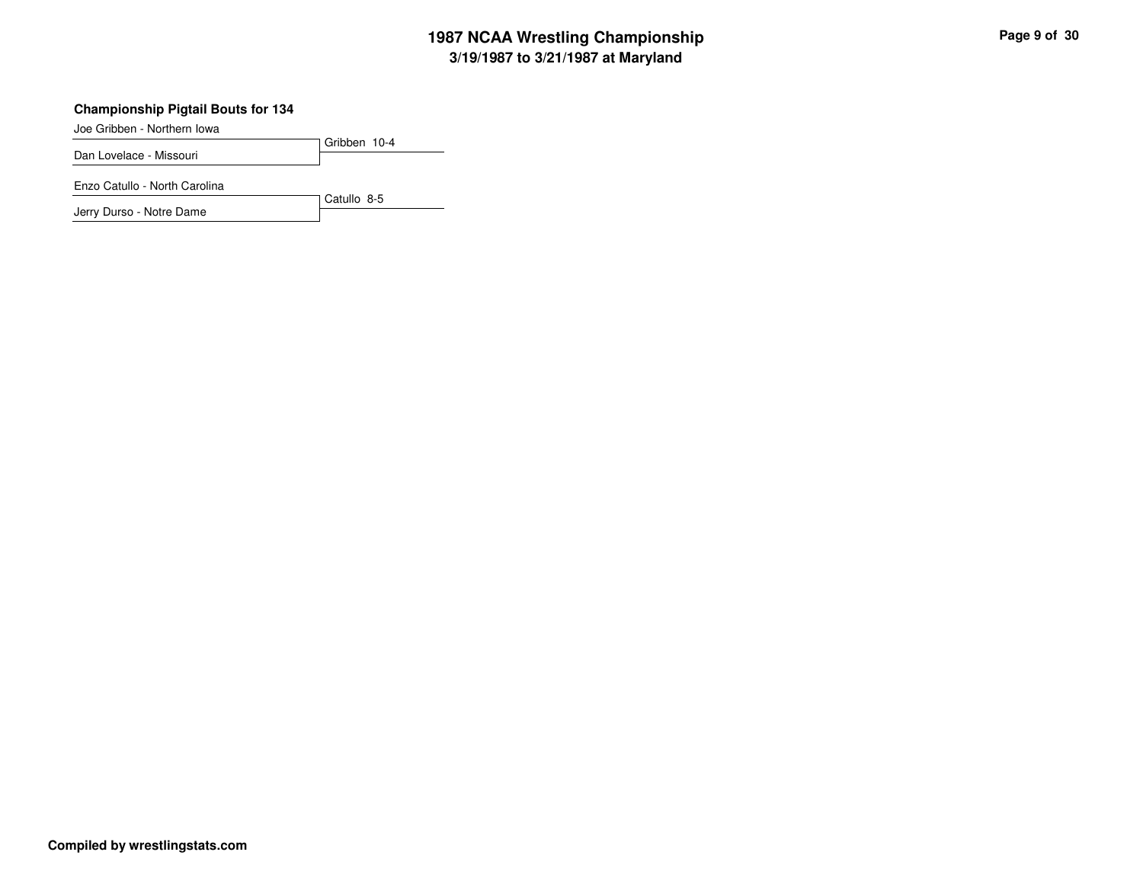# **3/19/1987 to 3/21/1987 at Maryland 1987 NCAA Wrestling Championship Page <sup>9</sup> of <sup>30</sup>**

#### **Championship Pigtail Bouts for 134**

Joe Gribben - Northern Iowa

Gribben 10-4 Dan Lovelace - Missouri

Enzo Catullo - North Carolina

Jerry Durso - Notre Dame

Catullo 8-5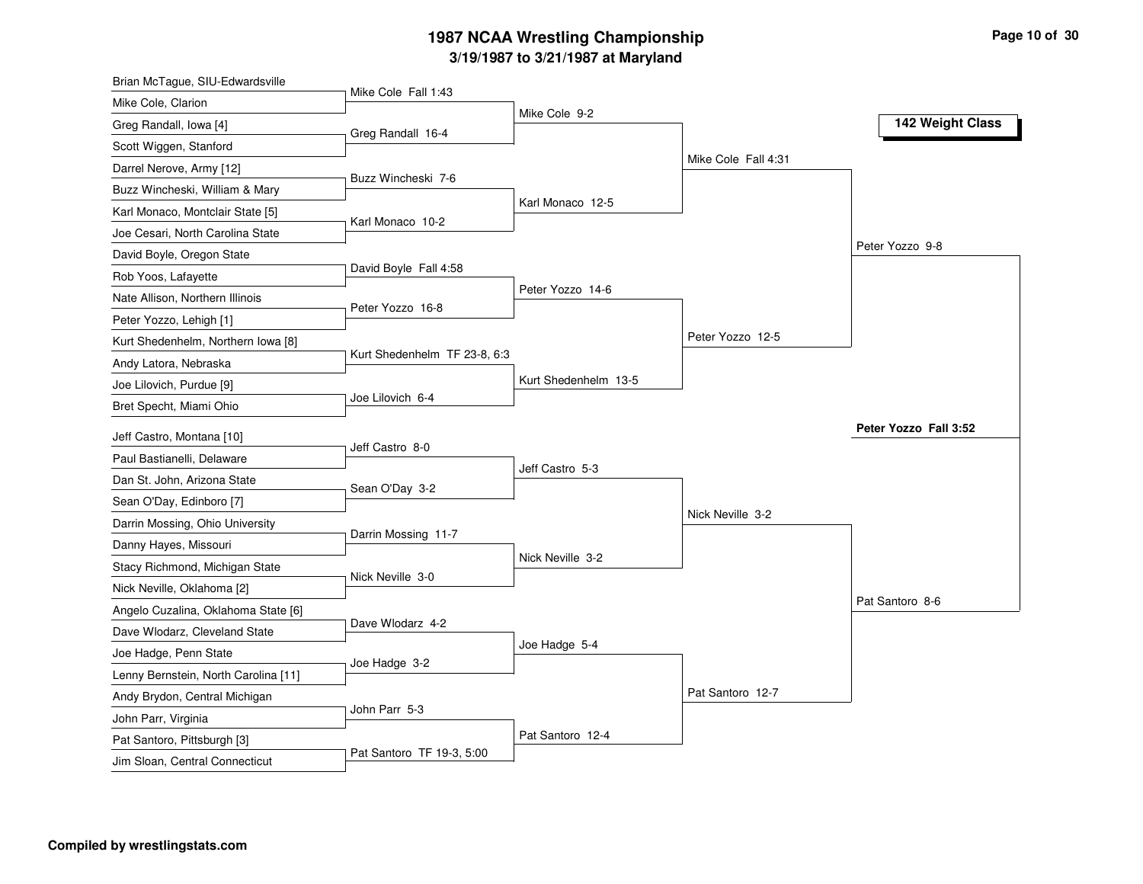# **3/19/1987 to 3/21/1987 at Maryland 1987 NCAA Wrestling Championship Page <sup>10</sup> of <sup>30</sup>**

| Brian McTague, SIU-Edwardsville      |                              |                      |                     |                       |
|--------------------------------------|------------------------------|----------------------|---------------------|-----------------------|
| Mike Cole, Clarion                   | Mike Cole Fall 1:43          |                      |                     |                       |
| Greg Randall, Iowa [4]               |                              | Mike Cole 9-2        |                     | 142 Weight Class      |
| Scott Wiggen, Stanford               | Greg Randall 16-4            |                      |                     |                       |
| Darrel Nerove, Army [12]             |                              |                      | Mike Cole Fall 4:31 |                       |
| Buzz Wincheski, William & Mary       | Buzz Wincheski 7-6           |                      |                     |                       |
| Karl Monaco, Montclair State [5]     |                              | Karl Monaco 12-5     |                     |                       |
| Joe Cesari, North Carolina State     | Karl Monaco 10-2             |                      |                     |                       |
| David Boyle, Oregon State            |                              |                      |                     | Peter Yozzo 9-8       |
| Rob Yoos, Lafayette                  | David Boyle Fall 4:58        |                      |                     |                       |
| Nate Allison, Northern Illinois      |                              | Peter Yozzo 14-6     |                     |                       |
| Peter Yozzo, Lehigh [1]              | Peter Yozzo 16-8             |                      |                     |                       |
| Kurt Shedenhelm, Northern Iowa [8]   |                              |                      | Peter Yozzo 12-5    |                       |
| Andy Latora, Nebraska                | Kurt Shedenhelm TF 23-8, 6:3 |                      |                     |                       |
| Joe Lilovich, Purdue [9]             |                              | Kurt Shedenhelm 13-5 |                     |                       |
| Bret Specht, Miami Ohio              | Joe Lilovich 6-4             |                      |                     |                       |
|                                      |                              |                      |                     | Peter Yozzo Fall 3:52 |
| Jeff Castro, Montana [10]            | Jeff Castro 8-0              |                      |                     |                       |
| Paul Bastianelli, Delaware           |                              | Jeff Castro 5-3      |                     |                       |
| Dan St. John, Arizona State          | Sean O'Day 3-2               |                      |                     |                       |
| Sean O'Day, Edinboro [7]             |                              |                      | Nick Neville 3-2    |                       |
| Darrin Mossing, Ohio University      | Darrin Mossing 11-7          |                      |                     |                       |
| Danny Hayes, Missouri                |                              | Nick Neville 3-2     |                     |                       |
| Stacy Richmond, Michigan State       | Nick Neville 3-0             |                      |                     |                       |
| Nick Neville, Oklahoma [2]           |                              |                      |                     | Pat Santoro 8-6       |
| Angelo Cuzalina, Oklahoma State [6]  | Dave Wlodarz 4-2             |                      |                     |                       |
| Dave Wlodarz, Cleveland State        |                              | Joe Hadge 5-4        |                     |                       |
| Joe Hadge, Penn State                | Joe Hadge 3-2                |                      |                     |                       |
| Lenny Bernstein, North Carolina [11] |                              |                      | Pat Santoro 12-7    |                       |
| Andy Brydon, Central Michigan        | John Parr 5-3                |                      |                     |                       |
| John Parr, Virginia                  |                              |                      |                     |                       |
| Pat Santoro, Pittsburgh [3]          | Pat Santoro TF 19-3, 5:00    | Pat Santoro 12-4     |                     |                       |
| Jim Sloan, Central Connecticut       |                              |                      |                     |                       |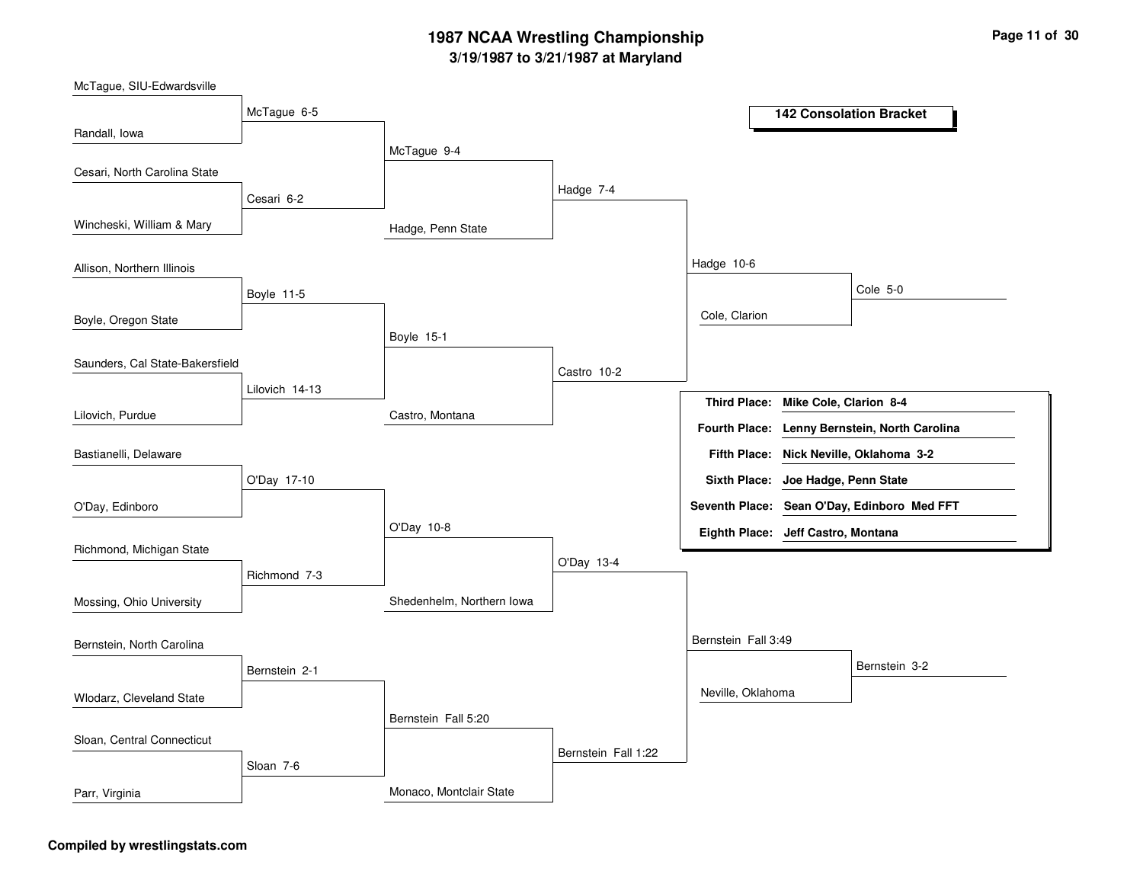# **3/19/1987 to 3/21/1987 at Maryland 1987 NCAA Wrestling Championship Page <sup>11</sup> of <sup>30</sup>**

McTague, SIU-Edwardsville

|                                 | McTague 6-5    |                           |                     |                                    |                        | <b>142 Consolation Bracket</b>              |
|---------------------------------|----------------|---------------------------|---------------------|------------------------------------|------------------------|---------------------------------------------|
| Randall, Iowa                   |                | McTague 9-4               |                     |                                    |                        |                                             |
| Cesari, North Carolina State    |                |                           |                     |                                    |                        |                                             |
|                                 | Cesari 6-2     |                           | Hadge 7-4           |                                    |                        |                                             |
| Wincheski, William & Mary       |                | Hadge, Penn State         |                     |                                    |                        |                                             |
| Allison, Northern Illinois      |                |                           |                     | Hadge 10-6                         |                        |                                             |
|                                 | Boyle 11-5     |                           |                     |                                    |                        | Cole 5-0                                    |
| Boyle, Oregon State             |                |                           |                     | Cole, Clarion                      |                        |                                             |
|                                 |                | Boyle 15-1                |                     |                                    |                        |                                             |
| Saunders, Cal State-Bakersfield |                |                           | Castro 10-2         |                                    |                        |                                             |
|                                 | Lilovich 14-13 |                           |                     | <b>Third Place:</b>                | Mike Cole, Clarion 8-4 |                                             |
| Lilovich, Purdue                |                | Castro, Montana           |                     | Fourth Place:                      |                        | Lenny Bernstein, North Carolina             |
| Bastianelli, Delaware           |                |                           |                     |                                    |                        | Fifth Place: Nick Neville, Oklahoma 3-2     |
|                                 | O'Day 17-10    |                           |                     | Sixth Place: Joe Hadge, Penn State |                        |                                             |
| O'Day, Edinboro                 |                |                           |                     |                                    |                        | Seventh Place: Sean O'Day, Edinboro Med FFT |
|                                 |                | O'Day 10-8                |                     | Eighth Place: Jeff Castro, Montana |                        |                                             |
| Richmond, Michigan State        |                |                           |                     |                                    |                        |                                             |
|                                 | Richmond 7-3   |                           | O'Day 13-4          |                                    |                        |                                             |
| Mossing, Ohio University        |                | Shedenhelm, Northern Iowa |                     |                                    |                        |                                             |
| Bernstein, North Carolina       |                |                           |                     | Bernstein Fall 3:49                |                        |                                             |
|                                 | Bernstein 2-1  |                           |                     |                                    |                        | Bernstein 3-2                               |
| Wlodarz, Cleveland State        |                |                           |                     | Neville, Oklahoma                  |                        |                                             |
|                                 |                | Bernstein Fall 5:20       |                     |                                    |                        |                                             |
| Sloan, Central Connecticut      |                |                           | Bernstein Fall 1:22 |                                    |                        |                                             |
|                                 | Sloan 7-6      |                           |                     |                                    |                        |                                             |
| Parr, Virginia                  |                | Monaco, Montclair State   |                     |                                    |                        |                                             |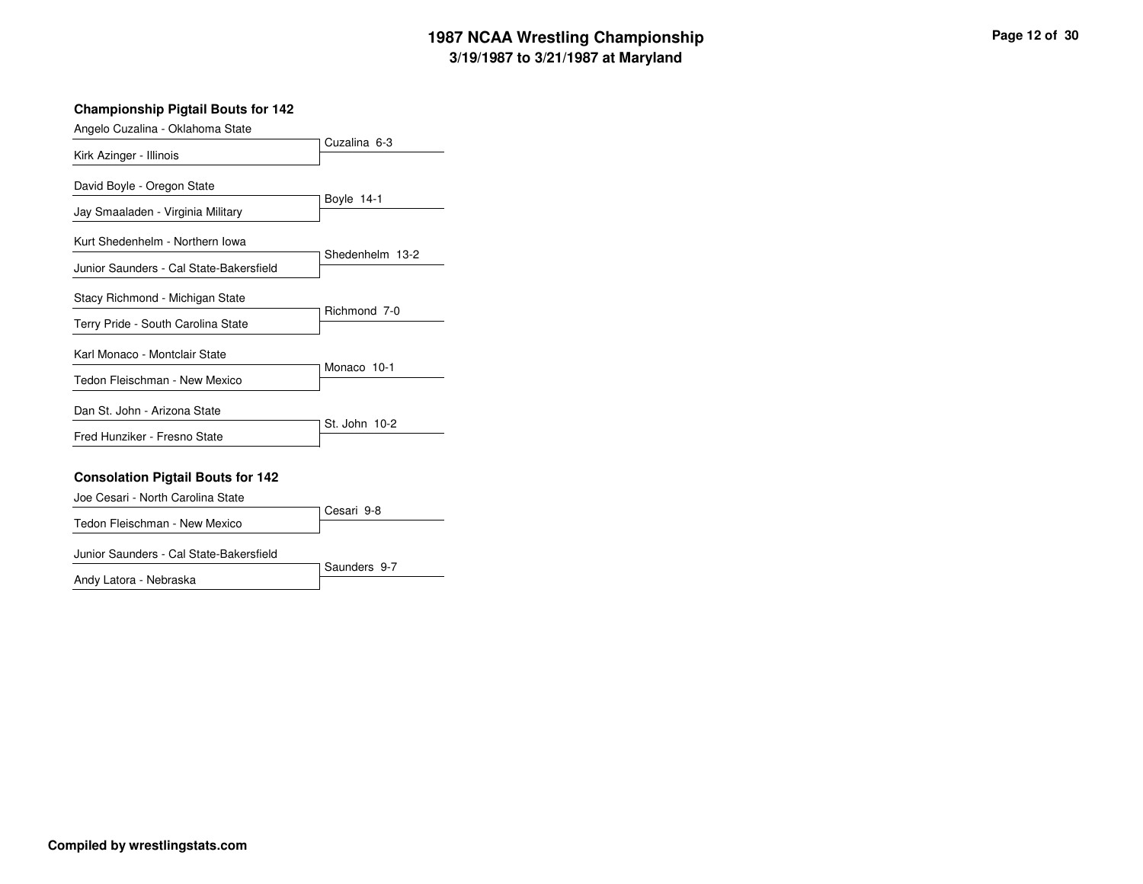# **3/19/1987 to 3/21/1987 at Maryland 1987 NCAA Wrestling Championship Page <sup>12</sup> of <sup>30</sup>**

#### **Championship Pigtail Bouts for 142**

| Angelo Cuzalina - Oklahoma State        |                 |
|-----------------------------------------|-----------------|
| Kirk Azinger - Illinois                 | Cuzalina 6-3    |
| David Boyle - Oregon State              |                 |
| Jay Smaaladen - Virginia Military       | Boyle 14-1      |
| Kurt Shedenhelm - Northern Iowa         |                 |
| Junior Saunders - Cal State-Bakersfield | Shedenhelm 13-2 |
| Stacy Richmond - Michigan State         |                 |
| Terry Pride - South Carolina State      | Richmond 7-0    |
| Karl Monaco - Montclair State           |                 |
| Tedon Fleischman - New Mexico           | Monaco 10-1     |
| Dan St. John - Arizona State            |                 |
| Fred Hunziker - Fresno State            | St. John 10-2   |

#### **Consolation Pigtail Bouts for 142**

| Joe Cesari - North Carolina State |              |
|-----------------------------------|--------------|
|                                   | ∃ Cesari 9-8 |
| Tedon Fleischman - New Mexico     |              |

#### Junior Saunders - Cal State-Bakersfield

Andy Latora - Nebraska

Saunders 9-7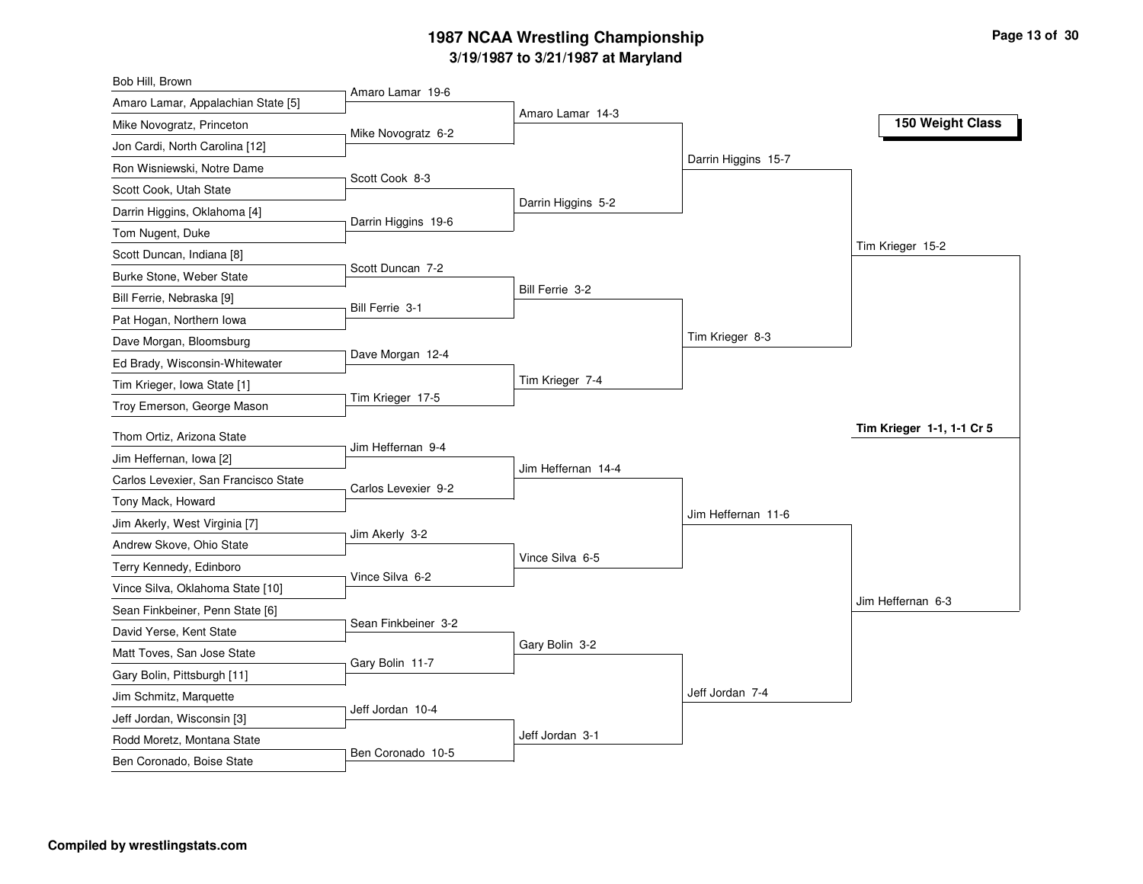# **3/19/1987 to 3/21/1987 at Maryland 1987 NCAA Wrestling Championship Page <sup>13</sup> of <sup>30</sup>**

| Bob Hill, Brown                      |                     |                    |                     |                           |
|--------------------------------------|---------------------|--------------------|---------------------|---------------------------|
| Amaro Lamar, Appalachian State [5]   | Amaro Lamar 19-6    |                    |                     |                           |
| Mike Novogratz, Princeton            | Mike Novogratz 6-2  | Amaro Lamar 14-3   |                     | 150 Weight Class          |
| Jon Cardi, North Carolina [12]       |                     |                    |                     |                           |
| Ron Wisniewski, Notre Dame           |                     |                    | Darrin Higgins 15-7 |                           |
| Scott Cook, Utah State               | Scott Cook 8-3      |                    |                     |                           |
| Darrin Higgins, Oklahoma [4]         |                     | Darrin Higgins 5-2 |                     |                           |
| Tom Nugent, Duke                     | Darrin Higgins 19-6 |                    |                     |                           |
| Scott Duncan, Indiana [8]            |                     |                    |                     | Tim Krieger 15-2          |
| Burke Stone, Weber State             | Scott Duncan 7-2    |                    |                     |                           |
| Bill Ferrie, Nebraska [9]            | Bill Ferrie 3-1     | Bill Ferrie 3-2    |                     |                           |
| Pat Hogan, Northern Iowa             |                     |                    |                     |                           |
| Dave Morgan, Bloomsburg              |                     |                    | Tim Krieger 8-3     |                           |
| Ed Brady, Wisconsin-Whitewater       | Dave Morgan 12-4    |                    |                     |                           |
| Tim Krieger, Iowa State [1]          |                     | Tim Krieger 7-4    |                     |                           |
| Troy Emerson, George Mason           | Tim Krieger 17-5    |                    |                     |                           |
| Thom Ortiz, Arizona State            |                     |                    |                     | Tim Krieger 1-1, 1-1 Cr 5 |
| Jim Heffernan, Iowa [2]              | Jim Heffernan 9-4   |                    |                     |                           |
| Carlos Levexier, San Francisco State |                     | Jim Heffernan 14-4 |                     |                           |
| Tony Mack, Howard                    | Carlos Levexier 9-2 |                    |                     |                           |
| Jim Akerly, West Virginia [7]        |                     |                    | Jim Heffernan 11-6  |                           |
| Andrew Skove, Ohio State             | Jim Akerly 3-2      |                    |                     |                           |
| Terry Kennedy, Edinboro              |                     | Vince Silva 6-5    |                     |                           |
| Vince Silva, Oklahoma State [10]     | Vince Silva 6-2     |                    |                     |                           |
| Sean Finkbeiner, Penn State [6]      |                     |                    |                     | Jim Heffernan 6-3         |
| David Yerse, Kent State              | Sean Finkbeiner 3-2 |                    |                     |                           |
| Matt Toves, San Jose State           |                     | Gary Bolin 3-2     |                     |                           |
| Gary Bolin, Pittsburgh [11]          | Gary Bolin 11-7     |                    |                     |                           |
| Jim Schmitz, Marquette               |                     |                    | Jeff Jordan 7-4     |                           |
| Jeff Jordan, Wisconsin [3]           | Jeff Jordan 10-4    |                    |                     |                           |
| Rodd Moretz, Montana State           |                     | Jeff Jordan 3-1    |                     |                           |
| Ben Coronado, Boise State            | Ben Coronado 10-5   |                    |                     |                           |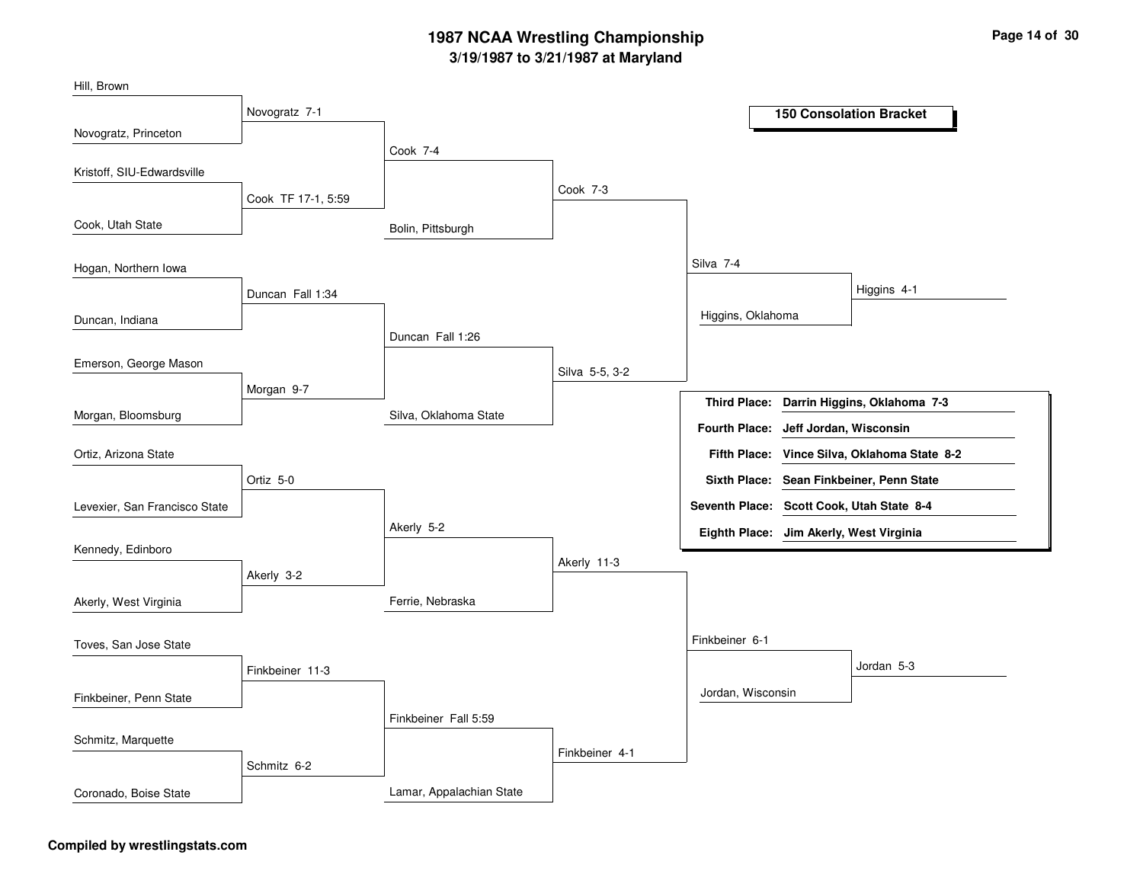# **3/19/1987 to 3/21/1987 at Maryland 1987 NCAA Wrestling Championship Page <sup>14</sup> of <sup>30</sup>**

| Hill, Brown                   |                    |                          |                |                                           |                                           |
|-------------------------------|--------------------|--------------------------|----------------|-------------------------------------------|-------------------------------------------|
|                               | Novogratz 7-1      |                          |                |                                           | <b>150 Consolation Bracket</b>            |
| Novogratz, Princeton          |                    | Cook 7-4                 |                |                                           |                                           |
| Kristoff, SIU-Edwardsville    |                    |                          |                |                                           |                                           |
|                               | Cook TF 17-1, 5:59 |                          | Cook 7-3       |                                           |                                           |
| Cook, Utah State              |                    | Bolin, Pittsburgh        |                |                                           |                                           |
| Hogan, Northern Iowa          |                    |                          |                | Silva 7-4                                 |                                           |
|                               | Duncan Fall 1:34   |                          |                |                                           | Higgins 4-1                               |
| Duncan, Indiana               |                    |                          |                | Higgins, Oklahoma                         |                                           |
|                               |                    | Duncan Fall 1:26         |                |                                           |                                           |
| Emerson, George Mason         |                    |                          | Silva 5-5, 3-2 |                                           |                                           |
|                               | Morgan 9-7         |                          |                |                                           | Third Place: Darrin Higgins, Oklahoma 7-3 |
| Morgan, Bloomsburg            |                    | Silva, Oklahoma State    |                | Fourth Place: Jeff Jordan, Wisconsin      |                                           |
| Ortiz, Arizona State          |                    |                          |                | <b>Fifth Place:</b>                       | Vince Silva, Oklahoma State 8-2           |
|                               | Ortiz 5-0          |                          |                |                                           | Sixth Place: Sean Finkbeiner, Penn State  |
| Levexier, San Francisco State |                    |                          |                | Seventh Place: Scott Cook, Utah State 8-4 |                                           |
|                               |                    | Akerly 5-2               |                | Eighth Place: Jim Akerly, West Virginia   |                                           |
| Kennedy, Edinboro             |                    |                          | Akerly 11-3    |                                           |                                           |
|                               | Akerly 3-2         |                          |                |                                           |                                           |
| Akerly, West Virginia         |                    | Ferrie, Nebraska         |                |                                           |                                           |
| Toves, San Jose State         |                    |                          |                | Finkbeiner 6-1                            |                                           |
|                               | Finkbeiner 11-3    |                          |                |                                           | Jordan 5-3                                |
| Finkbeiner, Penn State        |                    |                          |                | Jordan, Wisconsin                         |                                           |
|                               |                    | Finkbeiner Fall 5:59     |                |                                           |                                           |
| Schmitz, Marquette            |                    |                          | Finkbeiner 4-1 |                                           |                                           |
|                               | Schmitz 6-2        |                          |                |                                           |                                           |
| Coronado, Boise State         |                    | Lamar, Appalachian State |                |                                           |                                           |

#### **Compiled by wrestlingstats.com**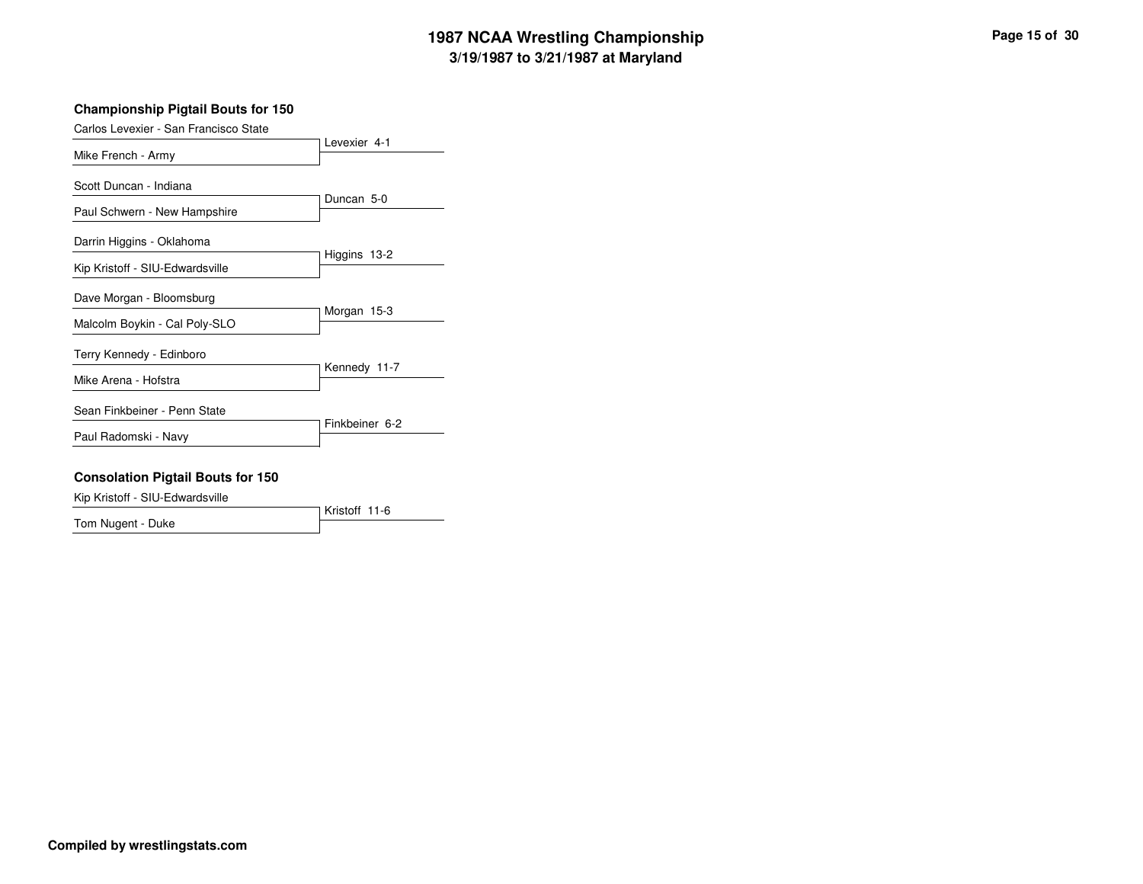# **3/19/1987 to 3/21/1987 at Maryland 1987 NCAA Wrestling Championship Page <sup>15</sup> of <sup>30</sup>**

#### **Championship Pigtail Bouts for 150**

| Carlos Levexier - San Francisco State |                |
|---------------------------------------|----------------|
| Mike French - Army                    | Levexier 4-1   |
| Scott Duncan - Indiana                |                |
| Paul Schwern - New Hampshire          | Duncan 5-0     |
| Darrin Higgins - Oklahoma             |                |
| Kip Kristoff - SIU-Edwardsville       | Higgins 13-2   |
| Dave Morgan - Bloomsburg              |                |
| Malcolm Boykin - Cal Poly-SLO         | Morgan 15-3    |
| Terry Kennedy - Edinboro              |                |
| Mike Arena - Hofstra                  | Kennedy 11-7   |
| Sean Finkbeiner - Penn State          |                |
| Paul Radomski - Navy                  | Finkbeiner 6-2 |

#### **Consolation Pigtail Bouts for 150**

Kip Kristoff - SIU-Edwardsville

Kristoff 11-6 Tom Nugent - Duke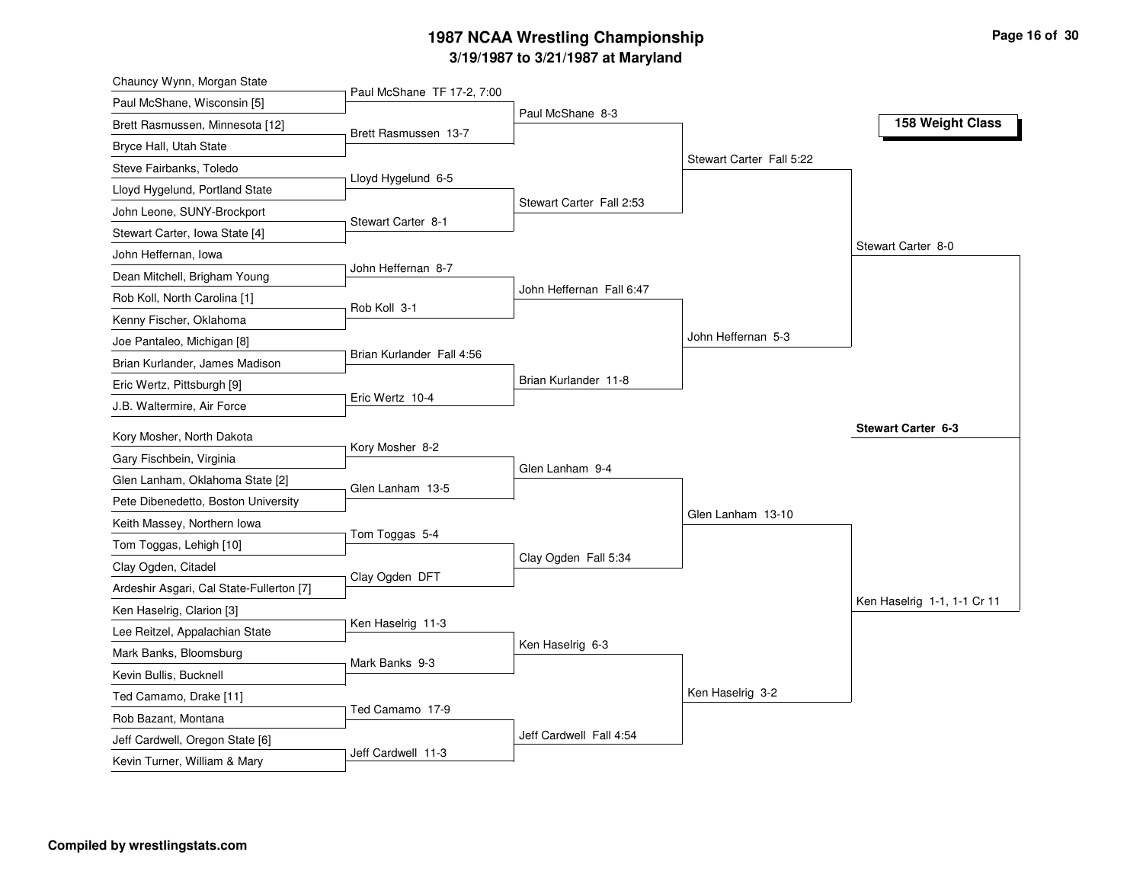# **3/19/1987 to 3/21/1987 at Maryland 1987 NCAA Wrestling Championship Page <sup>16</sup> of <sup>30</sup>**

| Paul McShane TF 17-2, 7:00<br>Paul McShane, Wisconsin [5]<br>Paul McShane 8-3<br>Brett Rasmussen, Minnesota [12]<br>Brett Rasmussen 13-7<br>Bryce Hall, Utah State<br>Stewart Carter Fall 5:22<br>Steve Fairbanks, Toledo<br>Lloyd Hygelund 6-5<br>Lloyd Hygelund, Portland State<br>Stewart Carter Fall 2:53<br>John Leone, SUNY-Brockport<br>Stewart Carter 8-1<br>Stewart Carter, Iowa State [4]<br>John Heffernan, Iowa<br>John Heffernan 8-7<br>Dean Mitchell, Brigham Young<br>John Heffernan Fall 6:47<br>Rob Koll, North Carolina [1]<br>Rob Koll 3-1<br>Kenny Fischer, Oklahoma<br>John Heffernan 5-3<br>Joe Pantaleo, Michigan [8]<br>Brian Kurlander Fall 4:56<br>Brian Kurlander, James Madison<br>Brian Kurlander 11-8<br>Eric Wertz, Pittsburgh [9]<br>Eric Wertz 10-4<br>J.B. Waltermire, Air Force<br>Kory Mosher, North Dakota<br>Kory Mosher 8-2<br>Gary Fischbein, Virginia<br>Glen Lanham 9-4<br>Glen Lanham, Oklahoma State [2]<br>Glen Lanham 13-5<br>Pete Dibenedetto, Boston University<br>Glen Lanham 13-10<br>Keith Massey, Northern Iowa<br>Tom Toggas 5-4<br>Tom Toggas, Lehigh [10]<br>Clay Ogden Fall 5:34<br>Clay Ogden, Citadel<br>Clay Ogden DFT<br>Ardeshir Asgari, Cal State-Fullerton [7]<br>Ken Haselrig, Clarion [3]<br>Ken Haselrig 11-3<br>Lee Reitzel, Appalachian State | 158 Weight Class<br>Stewart Carter 8-0 |
|-------------------------------------------------------------------------------------------------------------------------------------------------------------------------------------------------------------------------------------------------------------------------------------------------------------------------------------------------------------------------------------------------------------------------------------------------------------------------------------------------------------------------------------------------------------------------------------------------------------------------------------------------------------------------------------------------------------------------------------------------------------------------------------------------------------------------------------------------------------------------------------------------------------------------------------------------------------------------------------------------------------------------------------------------------------------------------------------------------------------------------------------------------------------------------------------------------------------------------------------------------------------------------------------------------------------|----------------------------------------|
|                                                                                                                                                                                                                                                                                                                                                                                                                                                                                                                                                                                                                                                                                                                                                                                                                                                                                                                                                                                                                                                                                                                                                                                                                                                                                                                   |                                        |
|                                                                                                                                                                                                                                                                                                                                                                                                                                                                                                                                                                                                                                                                                                                                                                                                                                                                                                                                                                                                                                                                                                                                                                                                                                                                                                                   |                                        |
|                                                                                                                                                                                                                                                                                                                                                                                                                                                                                                                                                                                                                                                                                                                                                                                                                                                                                                                                                                                                                                                                                                                                                                                                                                                                                                                   |                                        |
|                                                                                                                                                                                                                                                                                                                                                                                                                                                                                                                                                                                                                                                                                                                                                                                                                                                                                                                                                                                                                                                                                                                                                                                                                                                                                                                   |                                        |
|                                                                                                                                                                                                                                                                                                                                                                                                                                                                                                                                                                                                                                                                                                                                                                                                                                                                                                                                                                                                                                                                                                                                                                                                                                                                                                                   |                                        |
|                                                                                                                                                                                                                                                                                                                                                                                                                                                                                                                                                                                                                                                                                                                                                                                                                                                                                                                                                                                                                                                                                                                                                                                                                                                                                                                   |                                        |
|                                                                                                                                                                                                                                                                                                                                                                                                                                                                                                                                                                                                                                                                                                                                                                                                                                                                                                                                                                                                                                                                                                                                                                                                                                                                                                                   |                                        |
|                                                                                                                                                                                                                                                                                                                                                                                                                                                                                                                                                                                                                                                                                                                                                                                                                                                                                                                                                                                                                                                                                                                                                                                                                                                                                                                   |                                        |
|                                                                                                                                                                                                                                                                                                                                                                                                                                                                                                                                                                                                                                                                                                                                                                                                                                                                                                                                                                                                                                                                                                                                                                                                                                                                                                                   |                                        |
|                                                                                                                                                                                                                                                                                                                                                                                                                                                                                                                                                                                                                                                                                                                                                                                                                                                                                                                                                                                                                                                                                                                                                                                                                                                                                                                   |                                        |
|                                                                                                                                                                                                                                                                                                                                                                                                                                                                                                                                                                                                                                                                                                                                                                                                                                                                                                                                                                                                                                                                                                                                                                                                                                                                                                                   |                                        |
|                                                                                                                                                                                                                                                                                                                                                                                                                                                                                                                                                                                                                                                                                                                                                                                                                                                                                                                                                                                                                                                                                                                                                                                                                                                                                                                   |                                        |
|                                                                                                                                                                                                                                                                                                                                                                                                                                                                                                                                                                                                                                                                                                                                                                                                                                                                                                                                                                                                                                                                                                                                                                                                                                                                                                                   |                                        |
|                                                                                                                                                                                                                                                                                                                                                                                                                                                                                                                                                                                                                                                                                                                                                                                                                                                                                                                                                                                                                                                                                                                                                                                                                                                                                                                   |                                        |
|                                                                                                                                                                                                                                                                                                                                                                                                                                                                                                                                                                                                                                                                                                                                                                                                                                                                                                                                                                                                                                                                                                                                                                                                                                                                                                                   |                                        |
|                                                                                                                                                                                                                                                                                                                                                                                                                                                                                                                                                                                                                                                                                                                                                                                                                                                                                                                                                                                                                                                                                                                                                                                                                                                                                                                   | <b>Stewart Carter 6-3</b>              |
|                                                                                                                                                                                                                                                                                                                                                                                                                                                                                                                                                                                                                                                                                                                                                                                                                                                                                                                                                                                                                                                                                                                                                                                                                                                                                                                   |                                        |
|                                                                                                                                                                                                                                                                                                                                                                                                                                                                                                                                                                                                                                                                                                                                                                                                                                                                                                                                                                                                                                                                                                                                                                                                                                                                                                                   |                                        |
|                                                                                                                                                                                                                                                                                                                                                                                                                                                                                                                                                                                                                                                                                                                                                                                                                                                                                                                                                                                                                                                                                                                                                                                                                                                                                                                   |                                        |
|                                                                                                                                                                                                                                                                                                                                                                                                                                                                                                                                                                                                                                                                                                                                                                                                                                                                                                                                                                                                                                                                                                                                                                                                                                                                                                                   |                                        |
|                                                                                                                                                                                                                                                                                                                                                                                                                                                                                                                                                                                                                                                                                                                                                                                                                                                                                                                                                                                                                                                                                                                                                                                                                                                                                                                   |                                        |
|                                                                                                                                                                                                                                                                                                                                                                                                                                                                                                                                                                                                                                                                                                                                                                                                                                                                                                                                                                                                                                                                                                                                                                                                                                                                                                                   |                                        |
|                                                                                                                                                                                                                                                                                                                                                                                                                                                                                                                                                                                                                                                                                                                                                                                                                                                                                                                                                                                                                                                                                                                                                                                                                                                                                                                   |                                        |
|                                                                                                                                                                                                                                                                                                                                                                                                                                                                                                                                                                                                                                                                                                                                                                                                                                                                                                                                                                                                                                                                                                                                                                                                                                                                                                                   |                                        |
|                                                                                                                                                                                                                                                                                                                                                                                                                                                                                                                                                                                                                                                                                                                                                                                                                                                                                                                                                                                                                                                                                                                                                                                                                                                                                                                   | Ken Haselrig 1-1, 1-1 Cr 11            |
| Ken Haselrig 6-3<br>Mark Banks, Bloomsburg                                                                                                                                                                                                                                                                                                                                                                                                                                                                                                                                                                                                                                                                                                                                                                                                                                                                                                                                                                                                                                                                                                                                                                                                                                                                        |                                        |
| Mark Banks 9-3<br>Kevin Bullis, Bucknell                                                                                                                                                                                                                                                                                                                                                                                                                                                                                                                                                                                                                                                                                                                                                                                                                                                                                                                                                                                                                                                                                                                                                                                                                                                                          |                                        |
| Ken Haselrig 3-2<br>Ted Camamo, Drake [11]                                                                                                                                                                                                                                                                                                                                                                                                                                                                                                                                                                                                                                                                                                                                                                                                                                                                                                                                                                                                                                                                                                                                                                                                                                                                        |                                        |
| Ted Camamo 17-9<br>Rob Bazant, Montana                                                                                                                                                                                                                                                                                                                                                                                                                                                                                                                                                                                                                                                                                                                                                                                                                                                                                                                                                                                                                                                                                                                                                                                                                                                                            |                                        |
| Jeff Cardwell Fall 4:54<br>Jeff Cardwell, Oregon State [6]                                                                                                                                                                                                                                                                                                                                                                                                                                                                                                                                                                                                                                                                                                                                                                                                                                                                                                                                                                                                                                                                                                                                                                                                                                                        |                                        |
| Jeff Cardwell 11-3<br>Kevin Turner, William & Mary                                                                                                                                                                                                                                                                                                                                                                                                                                                                                                                                                                                                                                                                                                                                                                                                                                                                                                                                                                                                                                                                                                                                                                                                                                                                |                                        |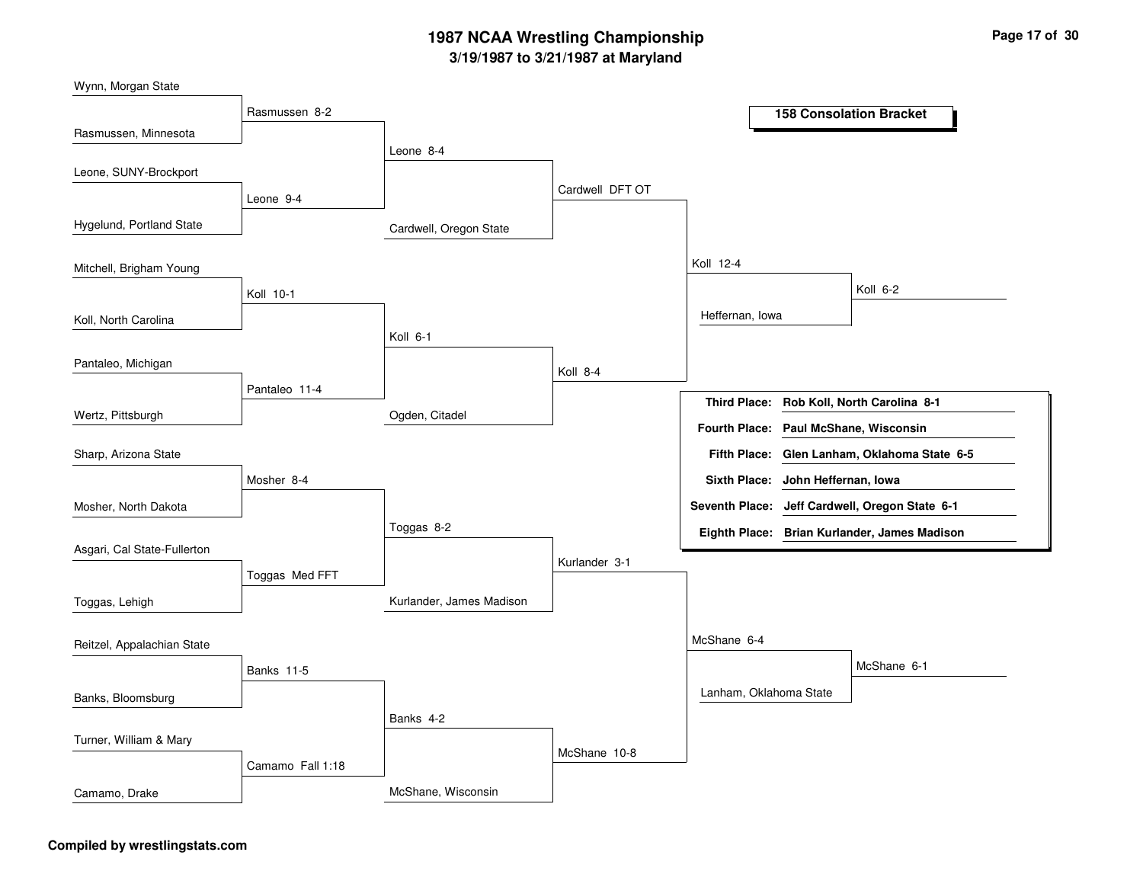# **3/19/1987 to 3/21/1987 at Maryland 1987 NCAA Wrestling Championship Page <sup>17</sup> of <sup>30</sup>**

Cardwell, Oregon State Ogden, Citadel Kurlander, James Madison McShane, Wisconsin Leone 8-4 Koll 6-1Toggas 8-2 Banks 4-2 Cardwell DFT OT Koll 8-4Kurlander 3-1McShane 10-8 Koll 12-4McShane 6-4 Heffernan, Iowa Lanham, Oklahoma State Koll 6-2McShane 6-1 Rasmussen 8-2 Leone 9-4 Koll 10-1Pantaleo 11-4 Mosher 8-4Toggas Med FFT Banks 11-5Camamo Fall 1:18 Rasmussen, Minnesota Hygelund, Portland State Koll, North Carolina Wertz, Pittsburgh Wynn, Morgan State Leone, SUNY-Brockport Mitchell, Brigham Young Pantaleo, Michigan Mosher, North Dakota Sharp, Arizona State Asgari, Cal State-Fullerton Toggas, Lehigh Banks, Bloomsburg Reitzel, Appalachian State Turner, William & Mary Camamo, Drake **158 Consolation Bracket Rob Koll, North Carolina 8-1 Third Place: Glen Lanham, Oklahoma State 6-5 Fifth Place: Seventh Place: Jeff Cardwell, Oregon State 6-1 Eighth Place: Brian Kurlander, James Madison Fourth Place: Paul McShane, Wisconsin Sixth Place: John Heffernan, Iowa**

#### **Compiled by wrestlingstats.com**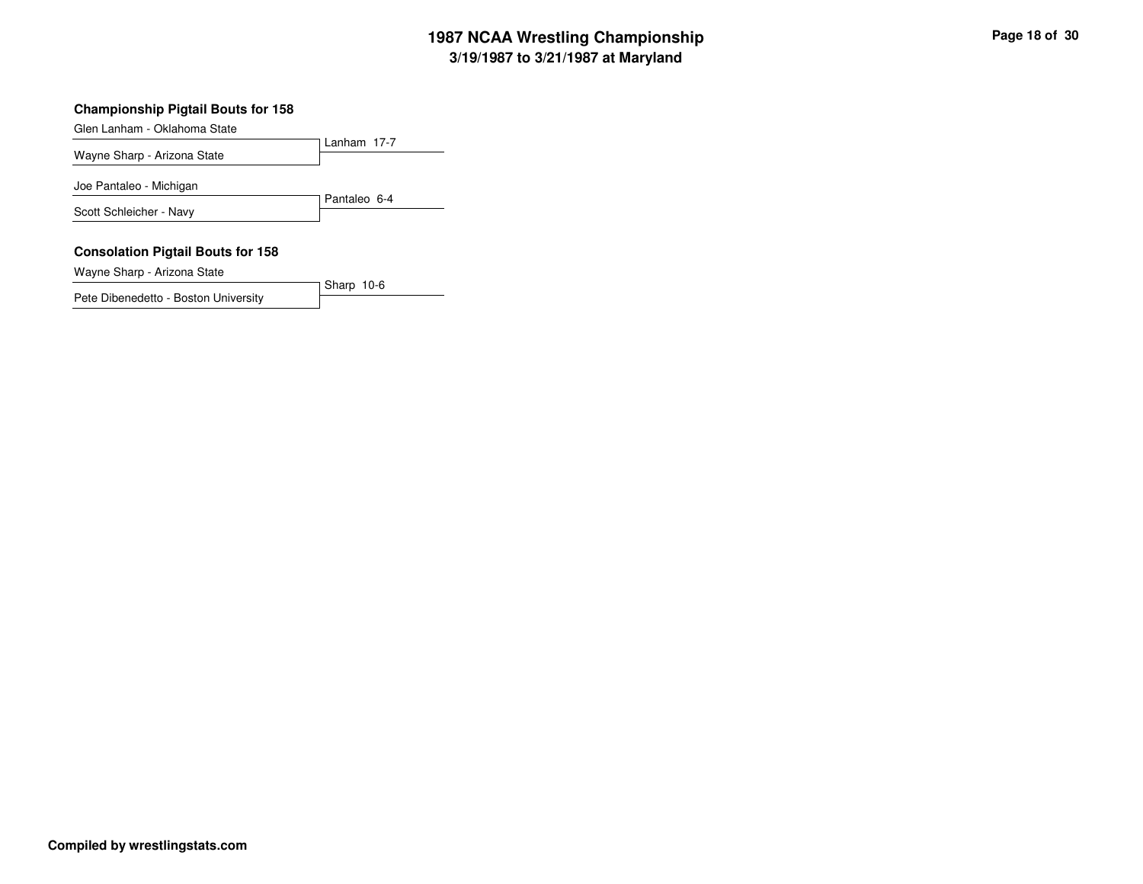# **3/19/1987 to 3/21/1987 at Maryland 1987 NCAA Wrestling Championship Page <sup>18</sup> of <sup>30</sup>**

#### **Championship Pigtail Bouts for 158**

Glen Lanham - Oklahoma State

Lanham 17-7 Wayne Sharp - Arizona State Pantaleo 6-4 Joe Pantaleo - Michigan Scott Schleicher - Navy

Sharp 10-6

#### **Consolation Pigtail Bouts for 158**

Wayne Sharp - Arizona State

Pete Dibenedetto - Boston University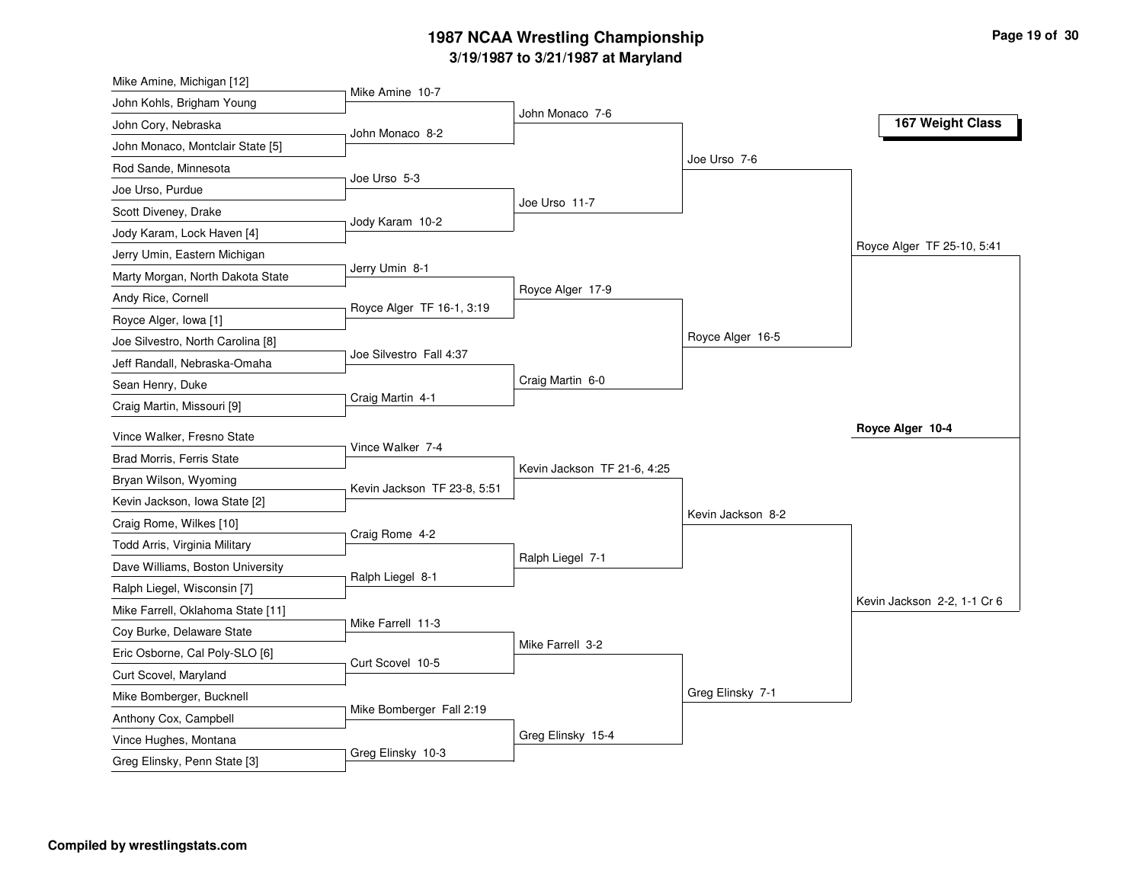# **3/19/1987 to 3/21/1987 at Maryland 1987 NCAA Wrestling Championship Page <sup>19</sup> of <sup>30</sup>**

| Mike Amine, Michigan [12]                      |                             |                             |                   |                             |
|------------------------------------------------|-----------------------------|-----------------------------|-------------------|-----------------------------|
| John Kohls, Brigham Young                      | Mike Amine 10-7             |                             |                   |                             |
| John Cory, Nebraska                            | John Monaco 8-2             | John Monaco 7-6             |                   | 167 Weight Class            |
| John Monaco, Montclair State [5]               |                             |                             |                   |                             |
| Rod Sande, Minnesota                           |                             |                             | Joe Urso 7-6      |                             |
| Joe Urso, Purdue                               | Joe Urso 5-3                |                             |                   |                             |
| Scott Diveney, Drake                           |                             | Joe Urso 11-7               |                   |                             |
| Jody Karam, Lock Haven [4]                     | Jody Karam 10-2             |                             |                   |                             |
| Jerry Umin, Eastern Michigan                   |                             |                             |                   | Royce Alger TF 25-10, 5:41  |
| Marty Morgan, North Dakota State               | Jerry Umin 8-1              |                             |                   |                             |
| Andy Rice, Cornell                             |                             | Royce Alger 17-9            |                   |                             |
| Royce Alger, Iowa [1]                          | Royce Alger TF 16-1, 3:19   |                             |                   |                             |
| Joe Silvestro, North Carolina [8]              |                             |                             | Royce Alger 16-5  |                             |
| Jeff Randall, Nebraska-Omaha                   | Joe Silvestro Fall 4:37     |                             |                   |                             |
| Sean Henry, Duke                               |                             | Craig Martin 6-0            |                   |                             |
| Craig Martin, Missouri [9]                     | Craig Martin 4-1            |                             |                   |                             |
| Vince Walker, Fresno State                     |                             |                             |                   | Royce Alger 10-4            |
| Brad Morris, Ferris State                      | Vince Walker 7-4            |                             |                   |                             |
| Bryan Wilson, Wyoming                          |                             | Kevin Jackson TF 21-6, 4:25 |                   |                             |
| Kevin Jackson, Iowa State [2]                  | Kevin Jackson TF 23-8, 5:51 |                             |                   |                             |
| Craig Rome, Wilkes [10]                        |                             |                             | Kevin Jackson 8-2 |                             |
| Todd Arris, Virginia Military                  | Craig Rome 4-2              |                             |                   |                             |
| Dave Williams, Boston University               |                             | Ralph Liegel 7-1            |                   |                             |
| Ralph Liegel, Wisconsin [7]                    | Ralph Liegel 8-1            |                             |                   |                             |
| Mike Farrell, Oklahoma State [11]              |                             |                             |                   |                             |
| Coy Burke, Delaware State                      |                             |                             |                   | Kevin Jackson 2-2, 1-1 Cr 6 |
|                                                | Mike Farrell 11-3           |                             |                   |                             |
|                                                |                             | Mike Farrell 3-2            |                   |                             |
| Eric Osborne, Cal Poly-SLO [6]                 | Curt Scovel 10-5            |                             |                   |                             |
| Curt Scovel, Maryland                          |                             |                             |                   |                             |
| Mike Bomberger, Bucknell                       | Mike Bomberger Fall 2:19    |                             | Greg Elinsky 7-1  |                             |
| Anthony Cox, Campbell<br>Vince Hughes, Montana |                             | Greg Elinsky 15-4           |                   |                             |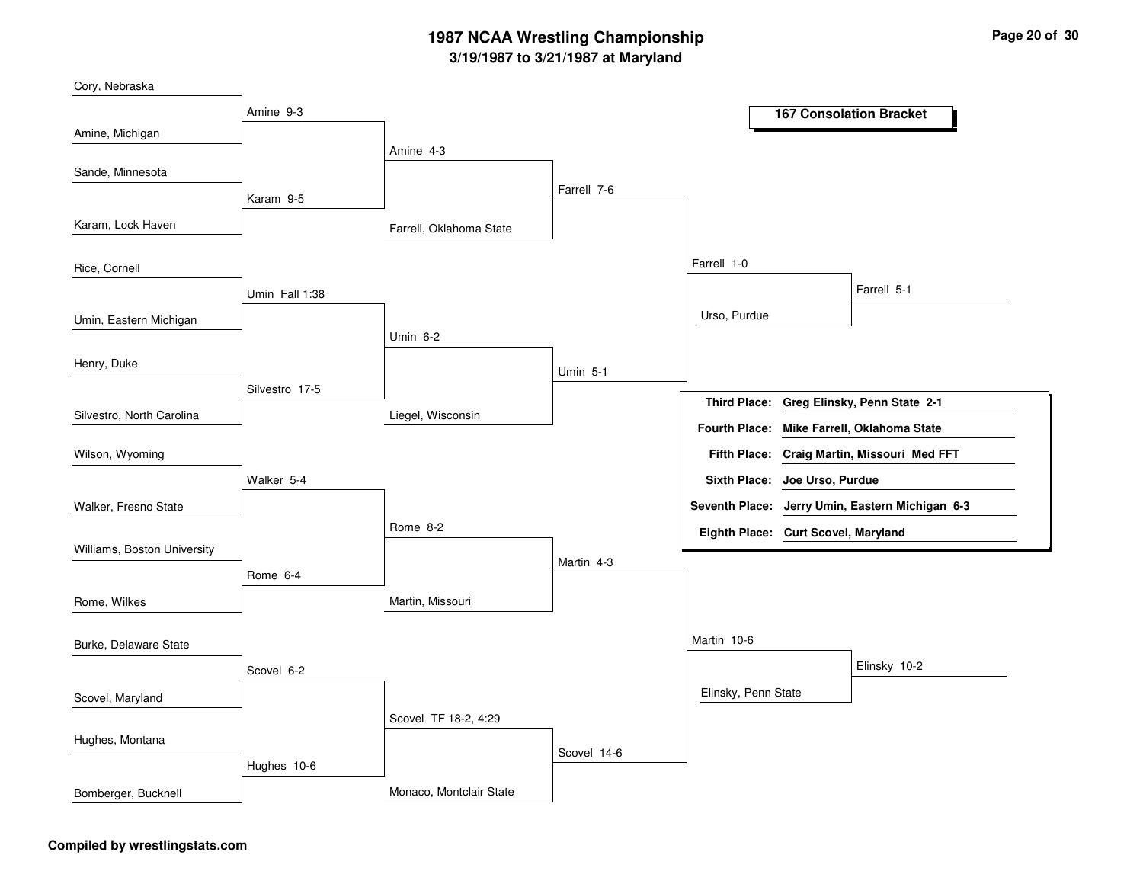# **3/19/1987 to 3/21/1987 at Maryland 1987 NCAA Wrestling Championship Page <sup>20</sup> of <sup>30</sup>**

| Cory, Nebraska              |                |                         |                 |                                     |                                                 |
|-----------------------------|----------------|-------------------------|-----------------|-------------------------------------|-------------------------------------------------|
|                             | Amine 9-3      |                         |                 |                                     | <b>167 Consolation Bracket</b>                  |
| Amine, Michigan             |                | Amine 4-3               |                 |                                     |                                                 |
| Sande, Minnesota            |                |                         |                 |                                     |                                                 |
|                             | Karam 9-5      |                         | Farrell 7-6     |                                     |                                                 |
| Karam, Lock Haven           |                | Farrell, Oklahoma State |                 |                                     |                                                 |
|                             |                |                         |                 |                                     |                                                 |
| Rice, Cornell               |                |                         |                 | Farrell 1-0                         |                                                 |
|                             | Umin Fall 1:38 |                         |                 |                                     | Farrell 5-1                                     |
| Umin, Eastern Michigan      |                |                         |                 | Urso, Purdue                        |                                                 |
|                             |                | <b>Umin 6-2</b>         |                 |                                     |                                                 |
| Henry, Duke                 |                |                         | <b>Umin 5-1</b> |                                     |                                                 |
|                             | Silvestro 17-5 |                         |                 |                                     | Third Place: Greg Elinsky, Penn State 2-1       |
| Silvestro, North Carolina   |                | Liegel, Wisconsin       |                 | <b>Fourth Place:</b>                | Mike Farrell, Oklahoma State                    |
| Wilson, Wyoming             |                |                         |                 | <b>Fifth Place:</b>                 | Craig Martin, Missouri Med FFT                  |
|                             | Walker 5-4     |                         |                 | Sixth Place: Joe Urso, Purdue       |                                                 |
| Walker, Fresno State        |                |                         |                 |                                     | Seventh Place: Jerry Umin, Eastern Michigan 6-3 |
|                             |                | Rome 8-2                |                 | Eighth Place: Curt Scovel, Maryland |                                                 |
| Williams, Boston University |                |                         | Martin 4-3      |                                     |                                                 |
|                             | Rome 6-4       |                         |                 |                                     |                                                 |
| Rome, Wilkes                |                | Martin, Missouri        |                 |                                     |                                                 |
| Burke, Delaware State       |                |                         |                 | Martin 10-6                         |                                                 |
|                             | Scovel 6-2     |                         |                 |                                     | Elinsky 10-2                                    |
|                             |                |                         |                 | Elinsky, Penn State                 |                                                 |
| Scovel, Maryland            |                | Scovel TF 18-2, 4:29    |                 |                                     |                                                 |
| Hughes, Montana             |                |                         |                 |                                     |                                                 |
|                             | Hughes 10-6    |                         | Scovel 14-6     |                                     |                                                 |
| Bomberger, Bucknell         |                | Monaco, Montclair State |                 |                                     |                                                 |
|                             |                |                         |                 |                                     |                                                 |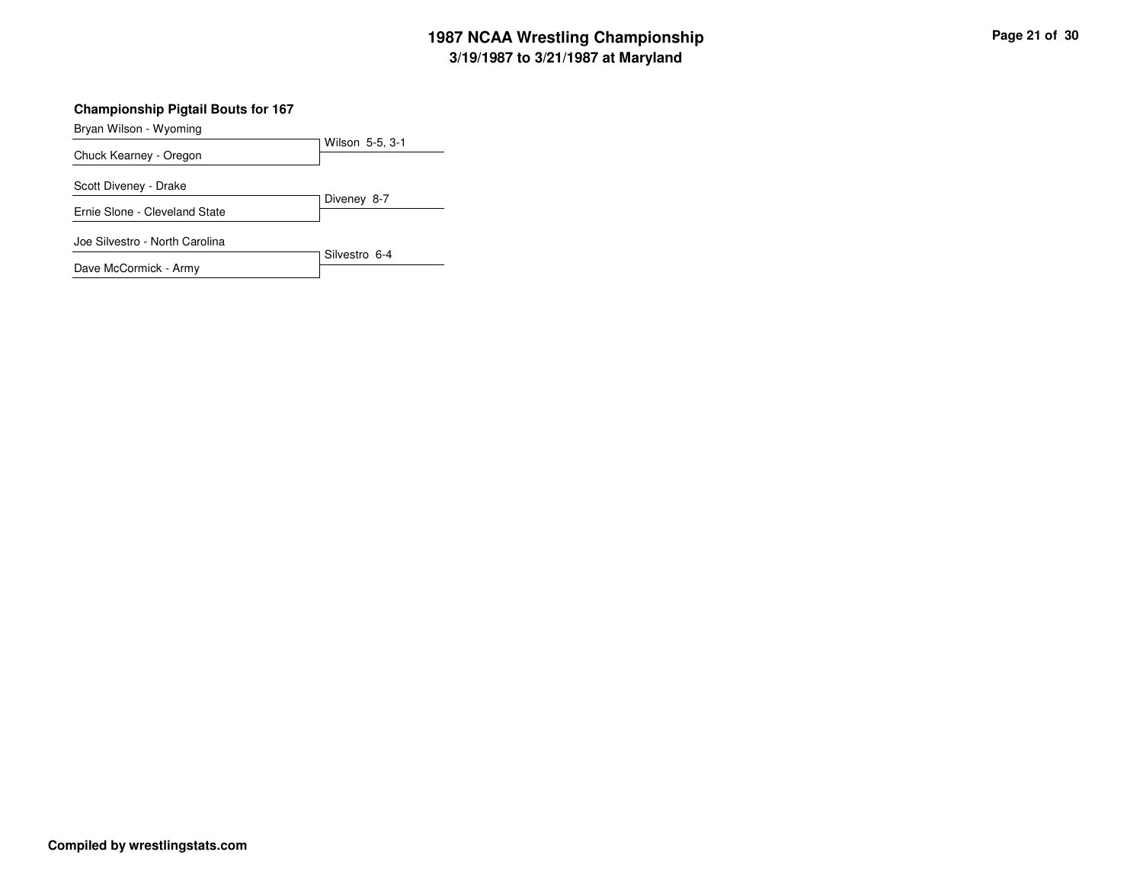# **3/19/1987 to 3/21/1987 at Maryland 1987 NCAA Wrestling Championship Page <sup>21</sup> of <sup>30</sup>**

#### **Championship Pigtail Bouts for 167**

Bryan Wilson - Wyoming

| Chuck Kearney - Oregon         | Wilson 5-5, 3-1 |
|--------------------------------|-----------------|
| Scott Diveney - Drake          |                 |
| Ernie Slone - Cleveland State  | Diveney 8-7     |
| Joe Silvestro - North Carolina |                 |
| Dave McCormick - Army          | Silvestro 6-4   |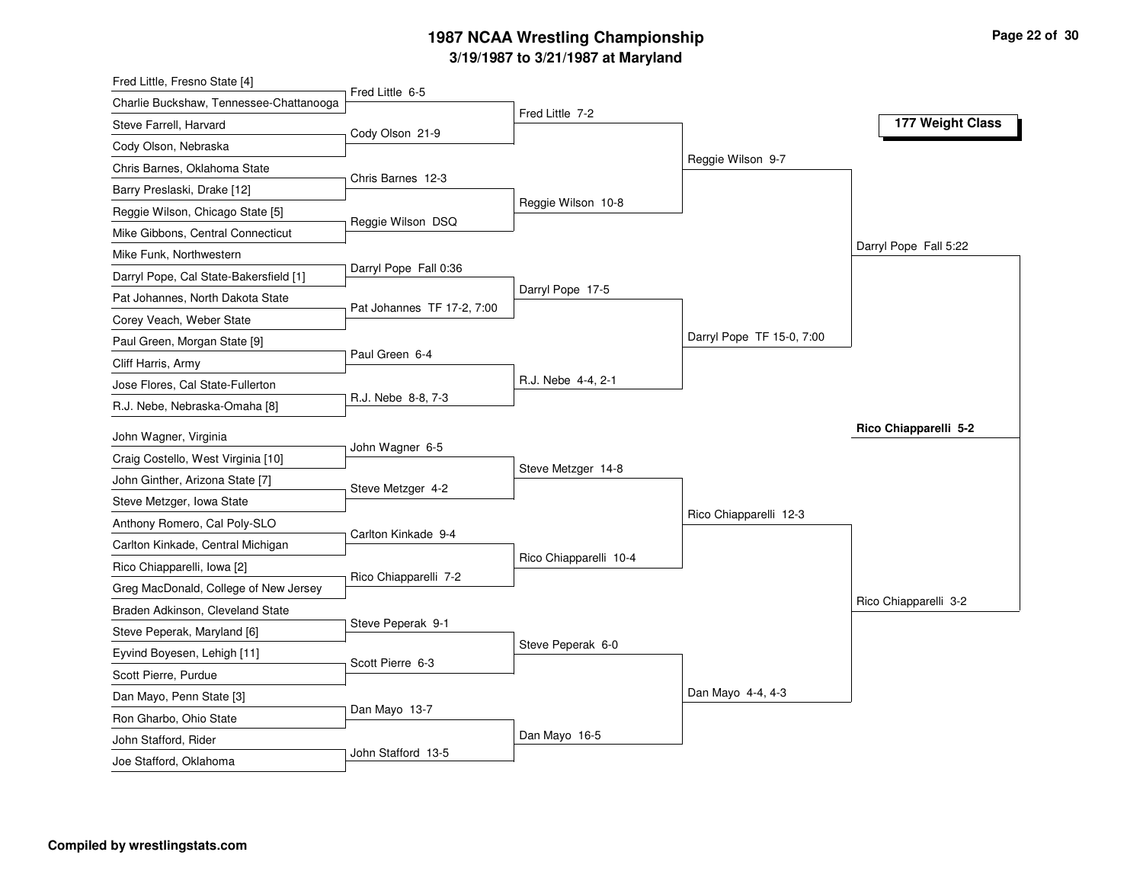# **3/19/1987 to 3/21/1987 at Maryland 1987 NCAA Wrestling Championship Page <sup>22</sup> of <sup>30</sup>**

| Fred Little, Fresno State [4]           |                            |                        |                           |                       |
|-----------------------------------------|----------------------------|------------------------|---------------------------|-----------------------|
| Charlie Buckshaw, Tennessee-Chattanooga | Fred Little 6-5            | Fred Little 7-2        |                           |                       |
| Steve Farrell, Harvard                  | Cody Olson 21-9            |                        |                           | 177 Weight Class      |
| Cody Olson, Nebraska                    |                            |                        |                           |                       |
| Chris Barnes, Oklahoma State            |                            |                        | Reggie Wilson 9-7         |                       |
| Barry Preslaski, Drake [12]             | Chris Barnes 12-3          |                        |                           |                       |
| Reggie Wilson, Chicago State [5]        | Reggie Wilson DSQ          | Reggie Wilson 10-8     |                           |                       |
| Mike Gibbons, Central Connecticut       |                            |                        |                           |                       |
| Mike Funk, Northwestern                 |                            |                        |                           | Darryl Pope Fall 5:22 |
| Darryl Pope, Cal State-Bakersfield [1]  | Darryl Pope Fall 0:36      |                        |                           |                       |
| Pat Johannes, North Dakota State        | Pat Johannes TF 17-2, 7:00 | Darryl Pope 17-5       |                           |                       |
| Corey Veach, Weber State                |                            |                        |                           |                       |
| Paul Green, Morgan State [9]            |                            |                        | Darryl Pope TF 15-0, 7:00 |                       |
| Cliff Harris, Army                      | Paul Green 6-4             |                        |                           |                       |
| Jose Flores, Cal State-Fullerton        |                            | R.J. Nebe 4-4, 2-1     |                           |                       |
| R.J. Nebe, Nebraska-Omaha [8]           | R.J. Nebe 8-8, 7-3         |                        |                           |                       |
| John Wagner, Virginia                   |                            |                        |                           | Rico Chiapparelli 5-2 |
| Craig Costello, West Virginia [10]      | John Wagner 6-5            |                        |                           |                       |
| John Ginther, Arizona State [7]         |                            | Steve Metzger 14-8     |                           |                       |
| Steve Metzger, Iowa State               | Steve Metzger 4-2          |                        |                           |                       |
| Anthony Romero, Cal Poly-SLO            |                            |                        | Rico Chiapparelli 12-3    |                       |
| Carlton Kinkade, Central Michigan       | Carlton Kinkade 9-4        |                        |                           |                       |
| Rico Chiapparelli, Iowa [2]             |                            | Rico Chiapparelli 10-4 |                           |                       |
| Greg MacDonald, College of New Jersey   | Rico Chiapparelli 7-2      |                        |                           |                       |
| Braden Adkinson, Cleveland State        |                            |                        |                           | Rico Chiapparelli 3-2 |
| Steve Peperak, Maryland [6]             | Steve Peperak 9-1          |                        |                           |                       |
| Eyvind Boyesen, Lehigh [11]             |                            | Steve Peperak 6-0      |                           |                       |
| Scott Pierre, Purdue                    | Scott Pierre 6-3           |                        |                           |                       |
| Dan Mayo, Penn State [3]                |                            |                        | Dan Mayo 4-4, 4-3         |                       |
| Ron Gharbo, Ohio State                  | Dan Mayo 13-7              |                        |                           |                       |
|                                         |                            |                        |                           |                       |
| John Stafford, Rider                    |                            | Dan Mayo 16-5          |                           |                       |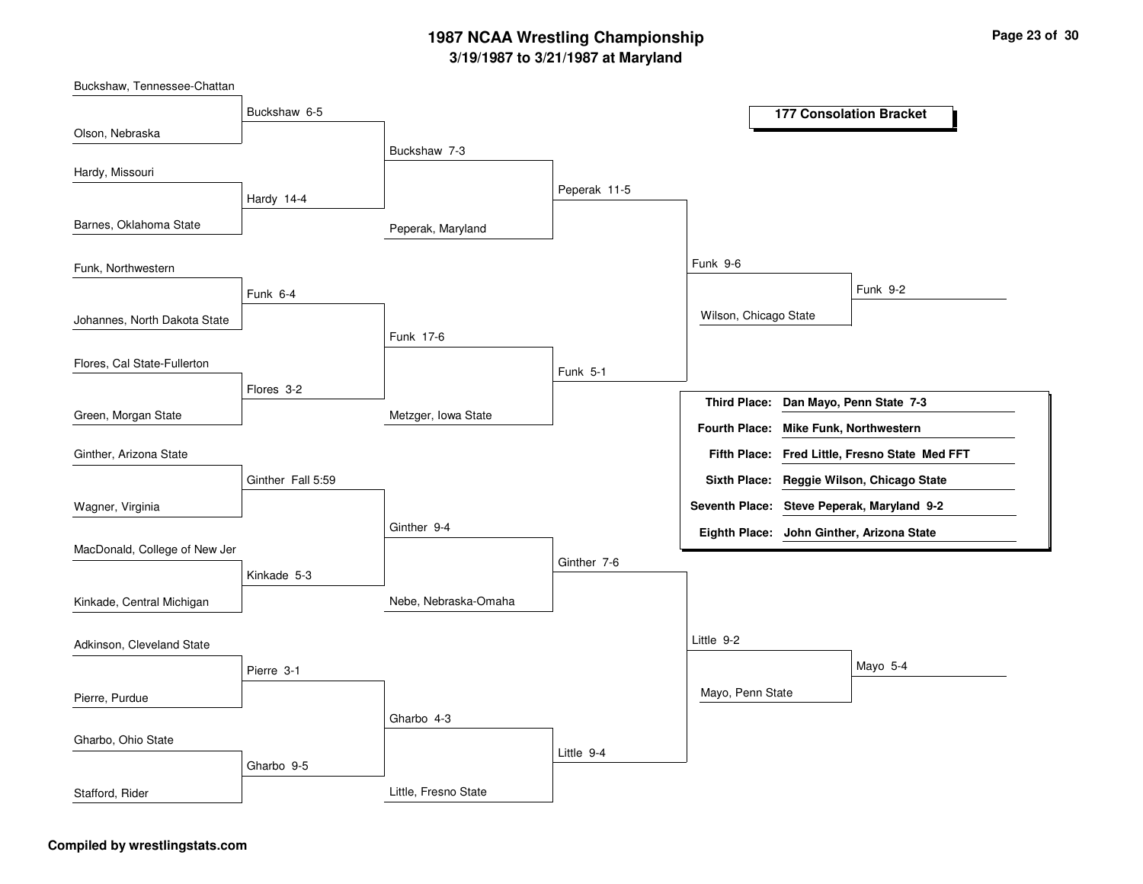# **3/19/1987 to 3/21/1987 at Maryland 1987 NCAA Wrestling Championship Page <sup>23</sup> of <sup>30</sup>**

Peperak, Maryland Metzger, Iowa State Nebe, Nebraska-Omaha Buckshaw 7-3 Funk 17-6Ginther 9-4Gharbo 4-3 Peperak 11-5 Funk 5-1Ginther 7-6Little 9-4 Funk 9-6Little 9-2 Wilson, Chicago State Mayo, Penn State Funk 9-2Mayo 5-4 Buckshaw 6-5 Hardy 14-4 Funk 6-4Flores 3-2Ginther Fall 5:59Kinkade 5-3 Pierre 3-1 Gharbo 9-5 Olson, Nebraska Barnes, Oklahoma State Johannes, North Dakota State Green, Morgan State Buckshaw, Tennessee-Chattan Hardy, Missouri Funk, Northwestern Flores, Cal State-Fullerton Wagner, Virginia Ginther, Arizona State MacDonald, College of New Jer Kinkade, Central Michigan Pierre, Purdue Adkinson, Cleveland State Gharbo, Ohio State **177 Consolation Bracket Dan Mayo, Penn State 7-3 Third Place: Fred Little, Fresno State Med FFT Fifth Place: Seventh Place: Steve Peperak, Maryland 9-2 Eighth Place: John Ginther, Arizona State Fourth Place: Mike Funk, Northwestern Sixth Place: Reggie Wilson, Chicago State**

Little, Fresno State

#### **Compiled by wrestlingstats.com**

Stafford, Rider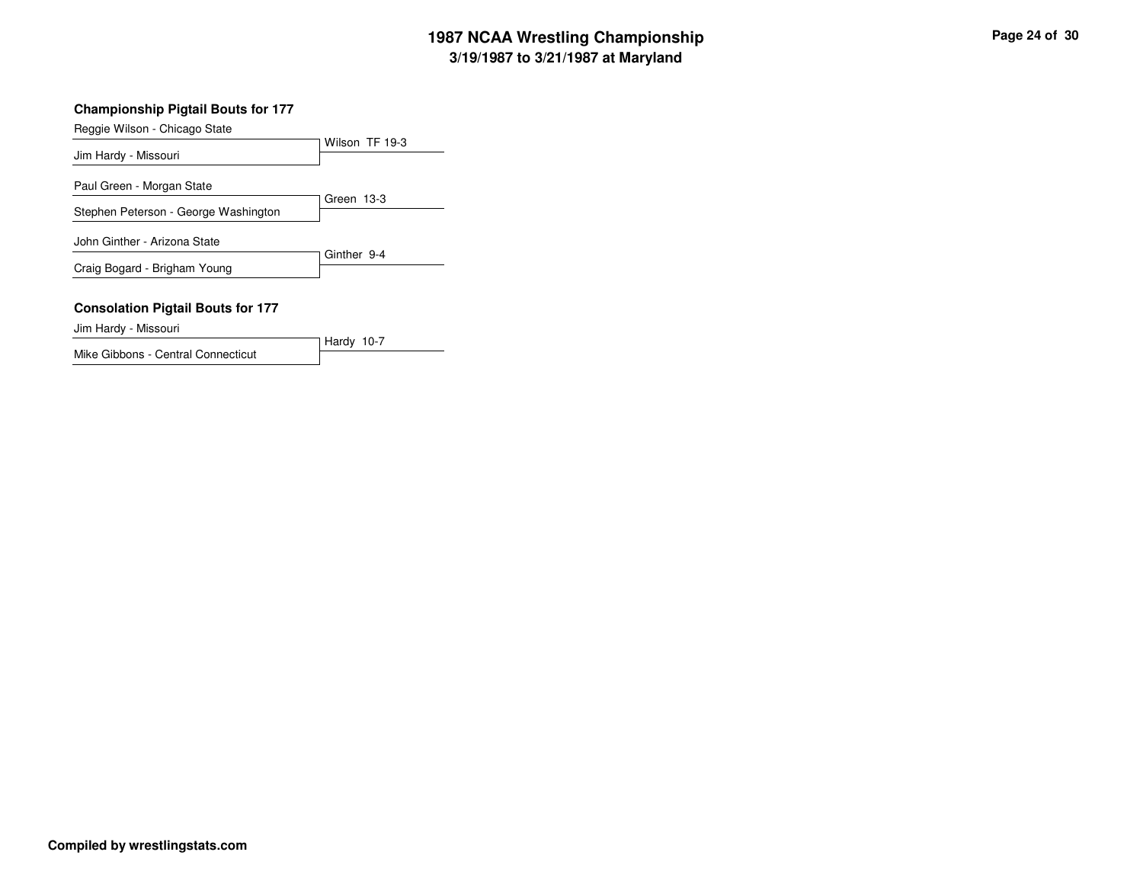# **3/19/1987 to 3/21/1987 at Maryland 1987 NCAA Wrestling Championship Page <sup>24</sup> of <sup>30</sup>**

#### **Championship Pigtail Bouts for 177**

Reggie Wilson - Chicago State

| $1.09900$ $1.00011$ $0.00900$ $0.0000$   | Wilson TF 19-3 |
|------------------------------------------|----------------|
| Jim Hardy - Missouri                     |                |
| Paul Green - Morgan State                |                |
| Stephen Peterson - George Washington     | Green 13-3     |
|                                          |                |
| John Ginther - Arizona State             | Ginther 9-4    |
| Craig Bogard - Brigham Young             |                |
| <b>Consolation Pigtail Bouts for 177</b> |                |
| .                                        |                |

Hardy 10-7

Jim Hardy - Missouri

Mike Gibbons - Central Connecticut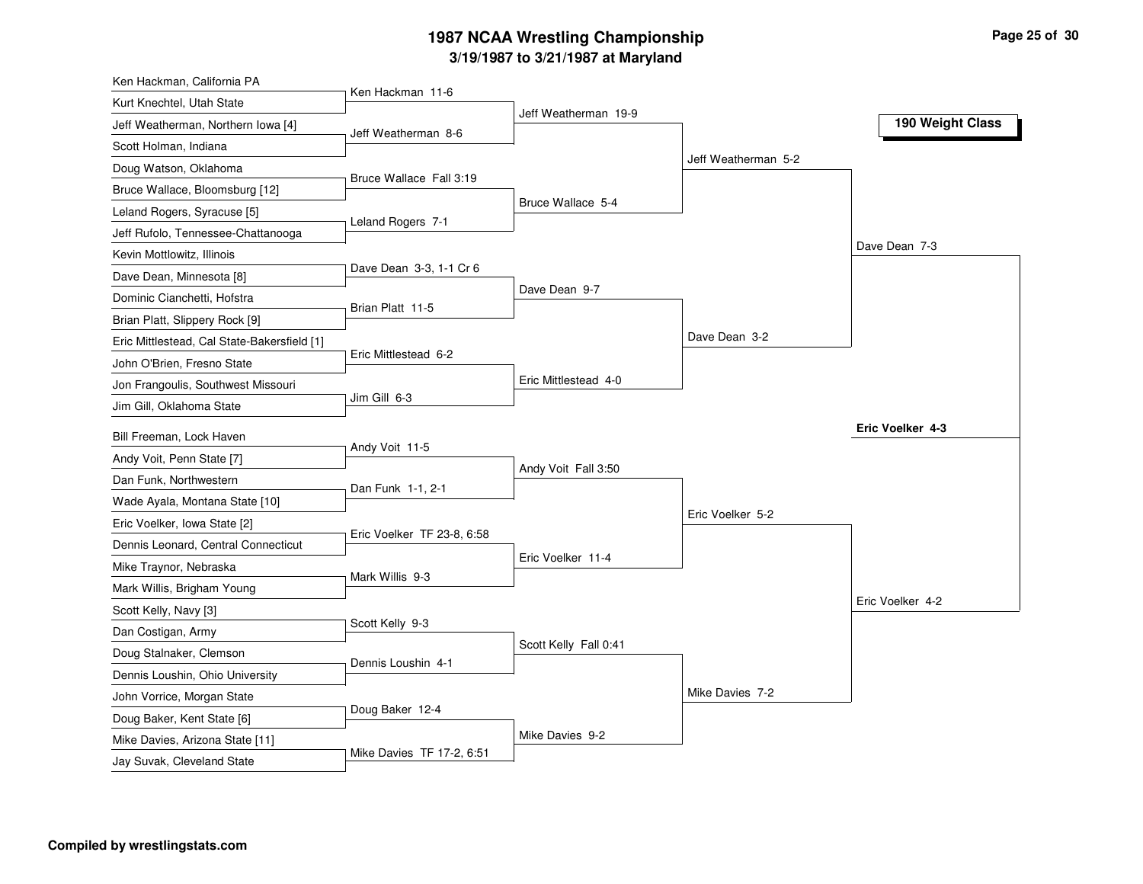# **3/19/1987 to 3/21/1987 at Maryland 1987 NCAA Wrestling Championship Page <sup>25</sup> of <sup>30</sup>**

| Ken Hackman, California PA                  |                            |                       |                     |                  |
|---------------------------------------------|----------------------------|-----------------------|---------------------|------------------|
| Kurt Knechtel, Utah State                   | Ken Hackman 11-6           | Jeff Weatherman 19-9  |                     |                  |
| Jeff Weatherman, Northern Iowa [4]          | Jeff Weatherman 8-6        |                       |                     | 190 Weight Class |
| Scott Holman, Indiana                       |                            |                       |                     |                  |
| Doug Watson, Oklahoma                       |                            |                       | Jeff Weatherman 5-2 |                  |
| Bruce Wallace, Bloomsburg [12]              | Bruce Wallace Fall 3:19    |                       |                     |                  |
| Leland Rogers, Syracuse [5]                 |                            | Bruce Wallace 5-4     |                     |                  |
| Jeff Rufolo, Tennessee-Chattanooga          | Leland Rogers 7-1          |                       |                     |                  |
| Kevin Mottlowitz, Illinois                  |                            |                       |                     | Dave Dean 7-3    |
| Dave Dean, Minnesota [8]                    | Dave Dean 3-3, 1-1 Cr 6    |                       |                     |                  |
| Dominic Cianchetti, Hofstra                 | Brian Platt 11-5           | Dave Dean 9-7         |                     |                  |
| Brian Platt, Slippery Rock [9]              |                            |                       |                     |                  |
| Eric Mittlestead, Cal State-Bakersfield [1] |                            |                       | Dave Dean 3-2       |                  |
| John O'Brien, Fresno State                  | Eric Mittlestead 6-2       |                       |                     |                  |
| Jon Frangoulis, Southwest Missouri          |                            | Eric Mittlestead 4-0  |                     |                  |
| Jim Gill, Oklahoma State                    | Jim Gill 6-3               |                       |                     |                  |
| Bill Freeman, Lock Haven                    |                            |                       |                     | Eric Voelker 4-3 |
| Andy Voit, Penn State [7]                   | Andy Voit 11-5             |                       |                     |                  |
| Dan Funk, Northwestern                      |                            | Andy Voit Fall 3:50   |                     |                  |
| Wade Ayala, Montana State [10]              | Dan Funk 1-1, 2-1          |                       |                     |                  |
| Eric Voelker, Iowa State [2]                |                            |                       | Eric Voelker 5-2    |                  |
| Dennis Leonard, Central Connecticut         | Eric Voelker TF 23-8, 6:58 |                       |                     |                  |
| Mike Traynor, Nebraska                      |                            | Eric Voelker 11-4     |                     |                  |
| Mark Willis, Brigham Young                  | Mark Willis 9-3            |                       |                     |                  |
| Scott Kelly, Navy [3]                       |                            |                       |                     | Eric Voelker 4-2 |
| Dan Costigan, Army                          | Scott Kelly 9-3            |                       |                     |                  |
| Doug Stalnaker, Clemson                     |                            | Scott Kelly Fall 0:41 |                     |                  |
| Dennis Loushin, Ohio University             | Dennis Loushin 4-1         |                       |                     |                  |
| John Vorrice, Morgan State                  |                            |                       | Mike Davies 7-2     |                  |
| Doug Baker, Kent State [6]                  | Doug Baker 12-4            |                       |                     |                  |
| Mike Davies, Arizona State [11]             |                            | Mike Davies 9-2       |                     |                  |
| Jay Suvak, Cleveland State                  | Mike Davies TF 17-2, 6:51  |                       |                     |                  |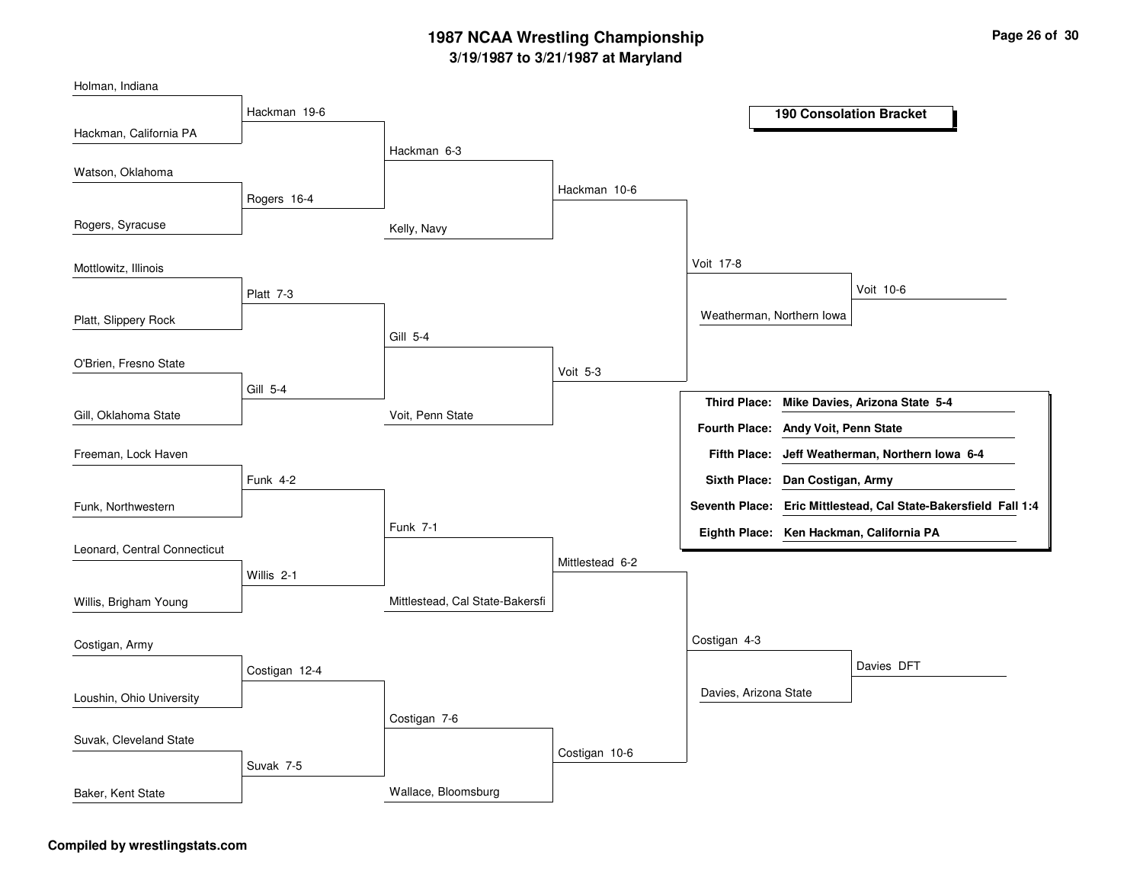# **3/19/1987 to 3/21/1987 at Maryland 1987 NCAA Wrestling Championship Page <sup>26</sup> of <sup>30</sup>**

| <b>190 Consolation Bracket</b>                                            |
|---------------------------------------------------------------------------|
|                                                                           |
| Hackman 6-3                                                               |
| Hackman 10-6                                                              |
|                                                                           |
|                                                                           |
|                                                                           |
| Voit 17-8                                                                 |
| Voit 10-6                                                                 |
| Weatherman, Northern Iowa                                                 |
|                                                                           |
| Voit 5-3                                                                  |
|                                                                           |
| <b>Third Place:</b><br>Mike Davies, Arizona State 5-4<br>Voit, Penn State |
| Fourth Place: Andy Voit, Penn State                                       |
| Fifth Place: Jeff Weatherman, Northern Iowa 6-4                           |
| Sixth Place: Dan Costigan, Army                                           |
| Seventh Place: Eric Mittlestead, Cal State-Bakersfield Fall 1:4           |
| Eighth Place: Ken Hackman, California PA                                  |
|                                                                           |
| Mittlestead 6-2                                                           |
| Mittlestead, Cal State-Bakersfi                                           |
|                                                                           |
| Costigan 4-3                                                              |
| Davies DFT                                                                |
| Davies, Arizona State                                                     |
| Costigan 7-6                                                              |
|                                                                           |
| Costigan 10-6                                                             |
|                                                                           |
|                                                                           |

#### **Compiled by wrestlingstats.com**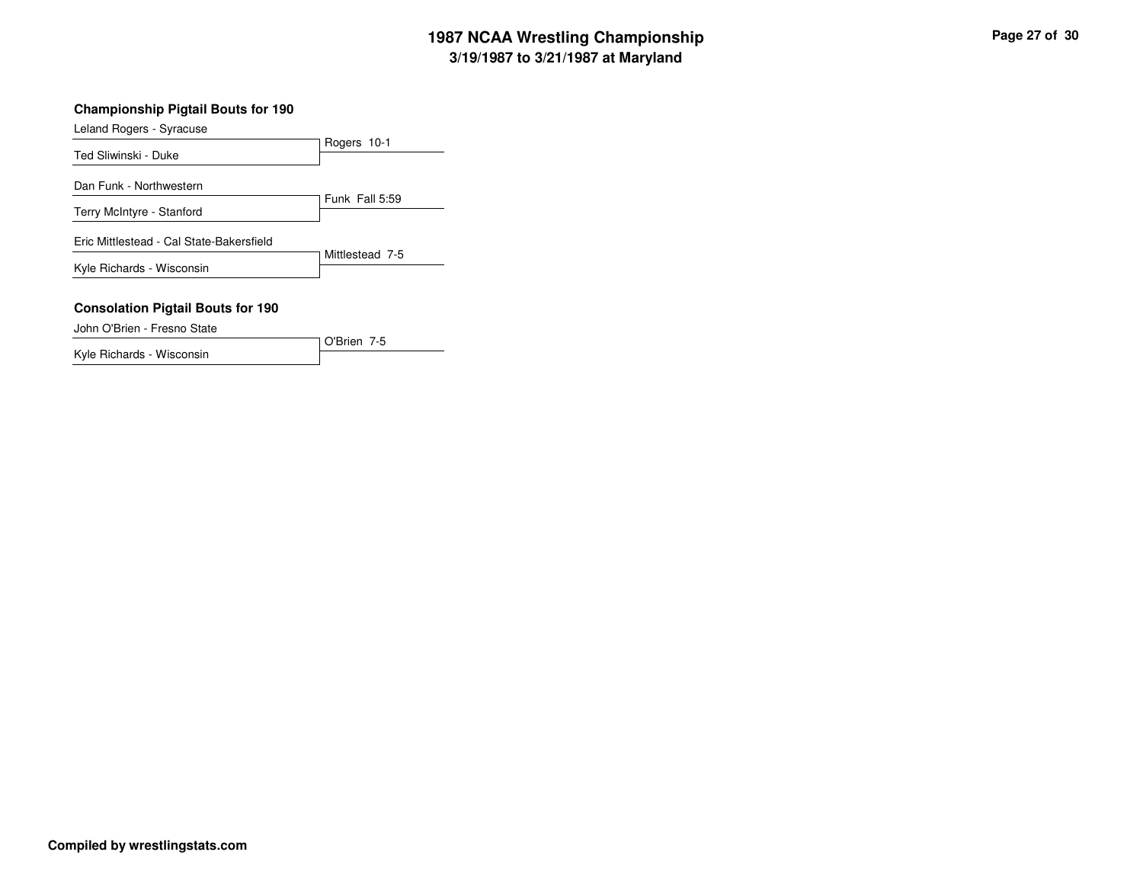# **3/19/1987 to 3/21/1987 at Maryland 1987 NCAA Wrestling Championship Page <sup>27</sup> of <sup>30</sup>**

#### **Championship Pigtail Bouts for 190**

Leland Rogers - Syracuse

| $= 0.00118 + 10.9018 + 0.0108888$                                       | Rogers 10-1     |
|-------------------------------------------------------------------------|-----------------|
| Ted Sliwinski - Duke                                                    |                 |
| Dan Funk - Northwestern                                                 |                 |
| Terry McIntyre - Stanford                                               | Funk Fall 5:59  |
| Eric Mittlestead - Cal State-Bakersfield                                |                 |
| Kyle Richards - Wisconsin                                               | Mittlestead 7-5 |
| <b>Consolation Pigtail Bouts for 190</b><br>John O'Brien - Fresno State |                 |

O'Brien 7-5

Kyle Richards - Wisconsin

**Compiled by wrestlingstats.com**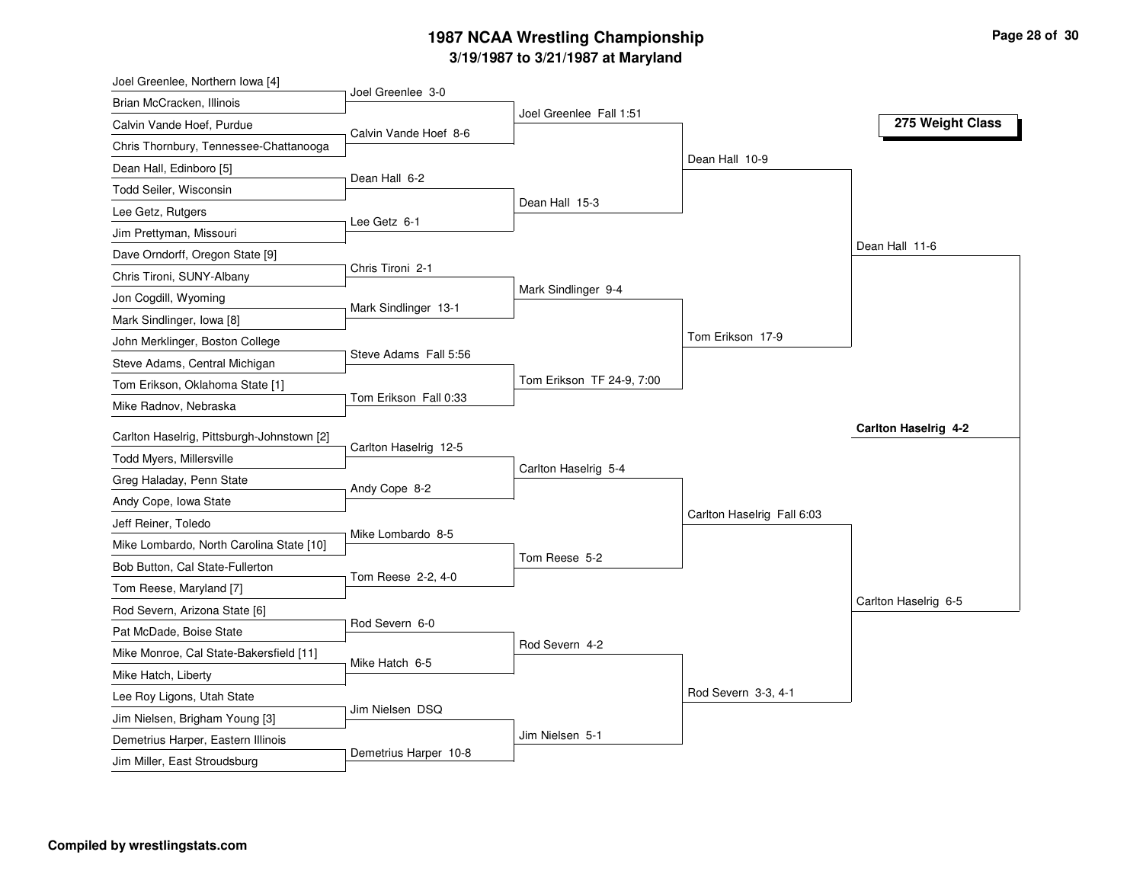# **3/19/1987 to 3/21/1987 at Maryland 1987 NCAA Wrestling Championship Page <sup>28</sup> of <sup>30</sup>**

| Joel Greenlee, Northern Iowa [4]           |                       |                           |                            |                      |
|--------------------------------------------|-----------------------|---------------------------|----------------------------|----------------------|
| Brian McCracken, Illinois                  | Joel Greenlee 3-0     | Joel Greenlee Fall 1:51   |                            |                      |
| Calvin Vande Hoef, Purdue                  | Calvin Vande Hoef 8-6 |                           |                            | 275 Weight Class     |
| Chris Thornbury, Tennessee-Chattanooga     |                       |                           |                            |                      |
| Dean Hall, Edinboro [5]                    |                       |                           | Dean Hall 10-9             |                      |
| Todd Seiler, Wisconsin                     | Dean Hall 6-2         |                           |                            |                      |
| Lee Getz, Rutgers                          |                       | Dean Hall 15-3            |                            |                      |
| Jim Prettyman, Missouri                    | Lee Getz 6-1          |                           |                            |                      |
| Dave Orndorff, Oregon State [9]            |                       |                           |                            | Dean Hall 11-6       |
| Chris Tironi, SUNY-Albany                  | Chris Tironi 2-1      |                           |                            |                      |
| Jon Cogdill, Wyoming                       |                       | Mark Sindlinger 9-4       |                            |                      |
| Mark Sindlinger, Iowa [8]                  | Mark Sindlinger 13-1  |                           |                            |                      |
| John Merklinger, Boston College            |                       |                           | Tom Erikson 17-9           |                      |
| Steve Adams, Central Michigan              | Steve Adams Fall 5:56 |                           |                            |                      |
| Tom Erikson, Oklahoma State [1]            |                       | Tom Erikson TF 24-9, 7:00 |                            |                      |
| Mike Radnov, Nebraska                      | Tom Erikson Fall 0:33 |                           |                            |                      |
|                                            |                       |                           |                            |                      |
|                                            |                       |                           |                            | Carlton Haselrig 4-2 |
| Carlton Haselrig, Pittsburgh-Johnstown [2] | Carlton Haselrig 12-5 |                           |                            |                      |
| Todd Myers, Millersville                   |                       | Carlton Haselrig 5-4      |                            |                      |
| Greg Haladay, Penn State                   | Andy Cope 8-2         |                           |                            |                      |
| Andy Cope, Iowa State                      |                       |                           | Carlton Haselrig Fall 6:03 |                      |
| Jeff Reiner, Toledo                        | Mike Lombardo 8-5     |                           |                            |                      |
| Mike Lombardo, North Carolina State [10]   |                       | Tom Reese 5-2             |                            |                      |
| Bob Button, Cal State-Fullerton            | Tom Reese 2-2, 4-0    |                           |                            |                      |
| Tom Reese, Maryland [7]                    |                       |                           |                            | Carlton Haselrig 6-5 |
| Rod Severn, Arizona State [6]              | Rod Severn 6-0        |                           |                            |                      |
| Pat McDade, Boise State                    |                       | Rod Severn 4-2            |                            |                      |
| Mike Monroe, Cal State-Bakersfield [11]    | Mike Hatch 6-5        |                           |                            |                      |
| Mike Hatch, Liberty                        |                       |                           |                            |                      |
| Lee Roy Ligons, Utah State                 | Jim Nielsen DSQ       |                           | Rod Severn 3-3, 4-1        |                      |
| Jim Nielsen, Brigham Young [3]             |                       |                           |                            |                      |
| Demetrius Harper, Eastern Illinois         | Demetrius Harper 10-8 | Jim Nielsen 5-1           |                            |                      |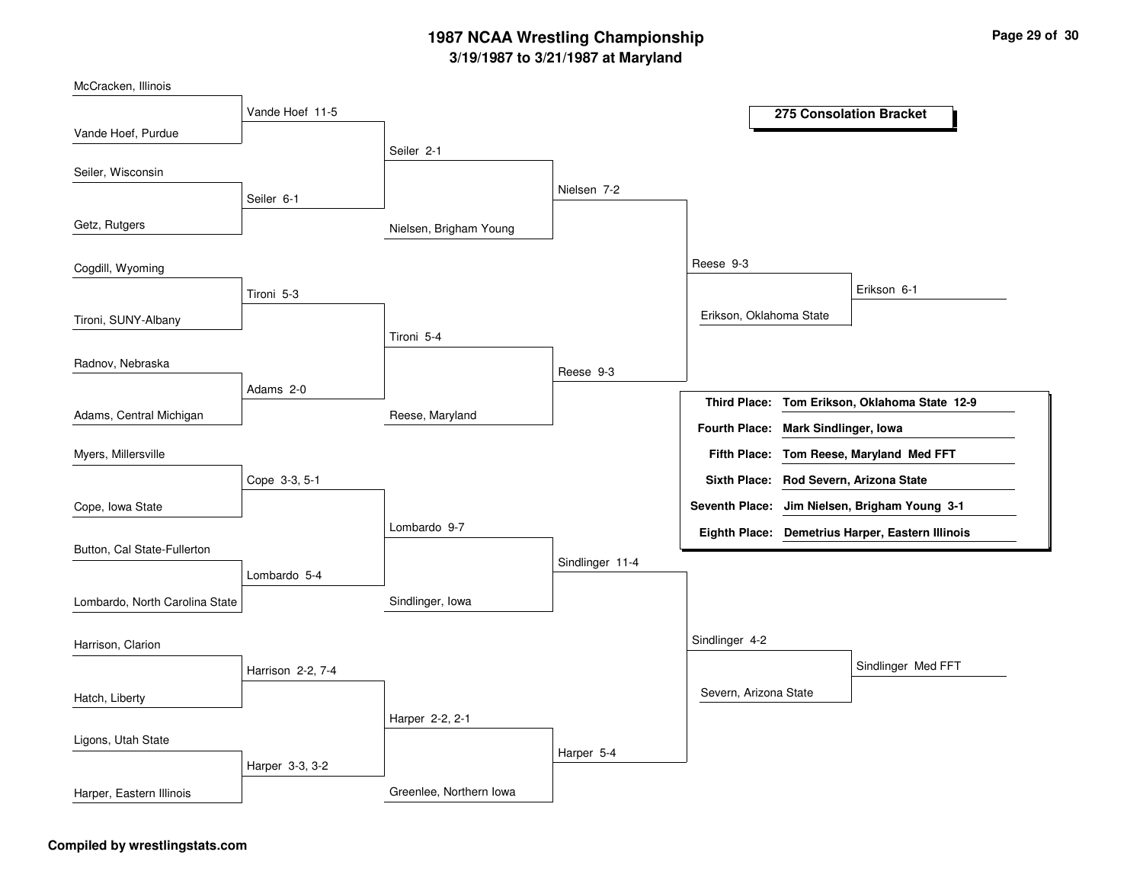# **3/19/1987 to 3/21/1987 at Maryland 1987 NCAA Wrestling Championship Page <sup>29</sup> of <sup>30</sup>**



#### **Compiled by wrestlingstats.com**